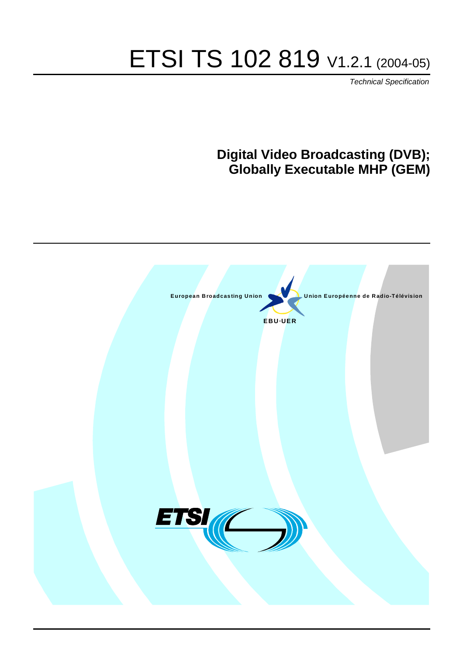# ETSI TS 102 819 V1.2.1 (2004-05)

Technical Specification

# **Digital Video Broadcasting (DVB); Globally Executable MHP (GEM)**

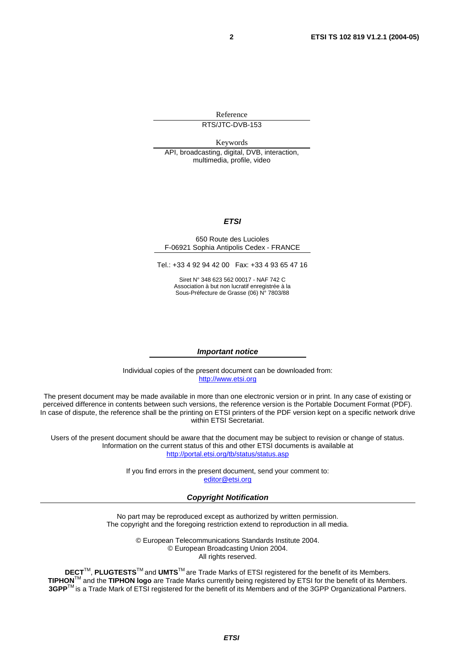Reference

RTS/JTC-DVB-153

Keywords

API, broadcasting, digital, DVB, interaction, multimedia, profile, video

#### **ETSI**

#### 650 Route des Lucioles F-06921 Sophia Antipolis Cedex - FRANCE

Tel.: +33 4 92 94 42 00 Fax: +33 4 93 65 47 16

Siret N° 348 623 562 00017 - NAF 742 C Association à but non lucratif enregistrée à la Sous-Préfecture de Grasse (06) N° 7803/88

#### **Important notice**

Individual copies of the present document can be downloaded from: [http://www.etsi.org](http://www.etsi.org/)

The present document may be made available in more than one electronic version or in print. In any case of existing or perceived difference in contents between such versions, the reference version is the Portable Document Format (PDF). In case of dispute, the reference shall be the printing on ETSI printers of the PDF version kept on a specific network drive within ETSI Secretariat.

Users of the present document should be aware that the document may be subject to revision or change of status. Information on the current status of this and other ETSI documents is available at <http://portal.etsi.org/tb/status/status.asp>

> If you find errors in the present document, send your comment to: [editor@etsi.org](mailto:editor@etsi.org)

#### **Copyright Notification**

No part may be reproduced except as authorized by written permission. The copyright and the foregoing restriction extend to reproduction in all media.

> © European Telecommunications Standards Institute 2004. © European Broadcasting Union 2004. All rights reserved.

**DECT**TM, **PLUGTESTS**TM and **UMTS**TM are Trade Marks of ETSI registered for the benefit of its Members. **TIPHON**TM and the **TIPHON logo** are Trade Marks currently being registered by ETSI for the benefit of its Members. **3GPP**TM is a Trade Mark of ETSI registered for the benefit of its Members and of the 3GPP Organizational Partners.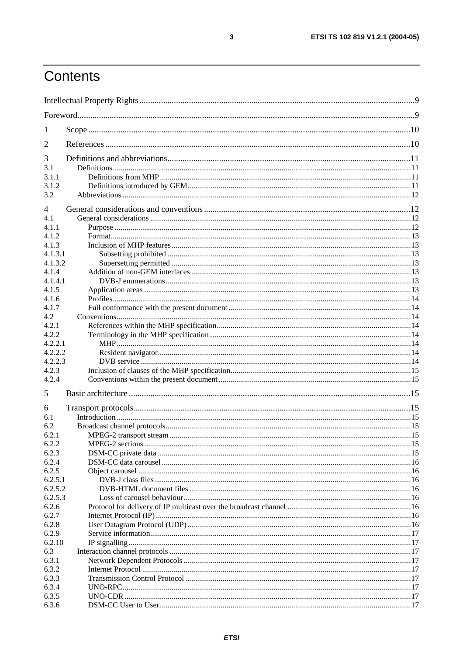# Contents

| 1              |  |
|----------------|--|
| 2              |  |
| 3              |  |
| 3.1            |  |
| 3.1.1          |  |
| 3.1.2          |  |
| 3.2            |  |
| $\overline{4}$ |  |
| 4.1            |  |
| 4.1.1          |  |
| 4.1.2          |  |
| 4.1.3          |  |
| 4.1.3.1        |  |
| 4.1.3.2        |  |
| 4.1.4          |  |
| 4.1.4.1        |  |
| 4.1.5          |  |
| 4.1.6          |  |
| 4.1.7          |  |
| 4.2            |  |
| 4.2.1          |  |
| 4.2.2          |  |
| 4.2.2.1        |  |
| 4.2.2.2        |  |
| 4.2.2.3        |  |
| 4.2.3          |  |
| 4.2.4          |  |
| 5              |  |
| 6              |  |
| 6.1            |  |
| 6.2            |  |
| 6.2.1          |  |
| 6.2.2          |  |
| 6.2.3          |  |
| 6.2.4          |  |
| 6.2.5          |  |
| 6.2.5.1        |  |
| 6.2.5.2        |  |
| 6.2.5.3        |  |
| 6.2.6          |  |
| 6.2.7          |  |
| 6.2.8          |  |
| 6.2.9          |  |
| 6.2.10         |  |
| 6.3            |  |
| 6.3.1          |  |
| 6.3.2          |  |
| 6.3.3          |  |
| 6.3.4          |  |
| 6.3.5          |  |
| 6.3.6          |  |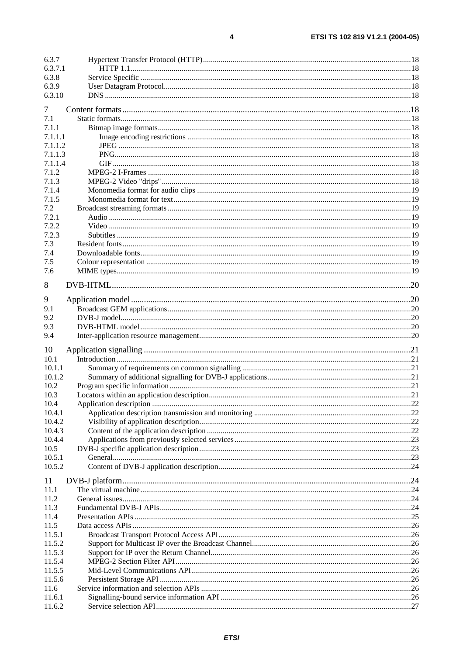| 6.3.7   |  |
|---------|--|
| 6.3.7.1 |  |
| 6.3.8   |  |
| 6.3.9   |  |
| 6.3.10  |  |
| 7       |  |
| 7.1     |  |
| 7.1.1   |  |
| 7.1.1.1 |  |
|         |  |
| 7.1.1.2 |  |
| 7.1.1.3 |  |
| 7.1.1.4 |  |
| 7.1.2   |  |
| 7.1.3   |  |
| 7.1.4   |  |
| 7.1.5   |  |
| 7.2     |  |
| 7.2.1   |  |
| 7.2.2   |  |
| 7.2.3   |  |
| 7.3     |  |
| 7.4     |  |
| 7.5     |  |
| 7.6     |  |
|         |  |
| 8       |  |
| 9       |  |
| 9.1     |  |
| 9.2     |  |
| 9.3     |  |
| 9.4     |  |
|         |  |
| 10      |  |
| 10.1    |  |
| 10.1.1  |  |
| 10.1.2  |  |
| 10.2    |  |
| 10.3    |  |
| 10.4    |  |
| 10.4.1  |  |
| 10.4.2  |  |
| 10.4.3  |  |
| 10.4.4  |  |
| 10.5    |  |
| 10.5.1  |  |
| 10.5.2  |  |
| 11      |  |
| 11.1    |  |
| 11.2    |  |
| 11.3    |  |
| 11.4    |  |
| 11.5    |  |
| 11.5.1  |  |
| 11.5.2  |  |
| 11.5.3  |  |
| 11.5.4  |  |
|         |  |
| 11.5.5  |  |
| 11.5.6  |  |
| 11.6    |  |
| 11.6.1  |  |
| 11.6.2  |  |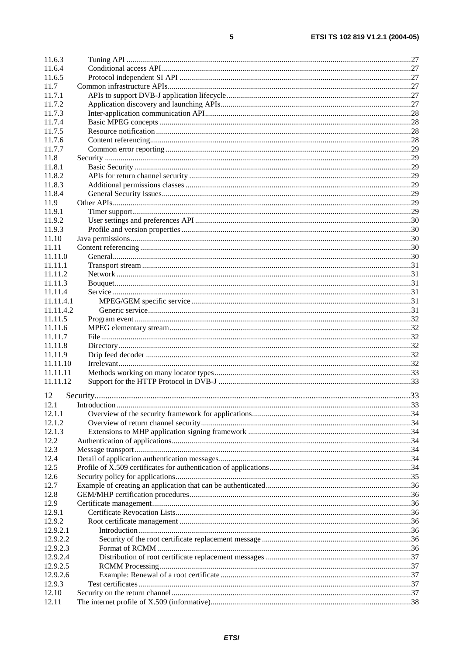| 11.6.3    |  |
|-----------|--|
| 11.6.4    |  |
| 11.6.5    |  |
| 11.7      |  |
| 11.7.1    |  |
| 11.7.2    |  |
| 11.7.3    |  |
| 11.7.4    |  |
| 11.7.5    |  |
| 11.7.6    |  |
| 11.7.7    |  |
| 11.8      |  |
| 11.8.1    |  |
| 11.8.2    |  |
| 11.8.3    |  |
| 11.8.4    |  |
| 11.9      |  |
| 11.9.1    |  |
| 11.9.2    |  |
| 11.9.3    |  |
| 11.10     |  |
| 11.11     |  |
| 11.11.0   |  |
| 11.11.1   |  |
| 11.11.2   |  |
| 11.11.3   |  |
| 11.11.4   |  |
| 11.11.4.1 |  |
| 11.11.4.2 |  |
| 11.11.5   |  |
| 11.11.6   |  |
| 11.11.7   |  |
| 11.11.8   |  |
| 11.11.9   |  |
| 11.11.10  |  |
| 11.11.11  |  |
| 11.11.12  |  |
|           |  |
| 12        |  |
| 12.1      |  |
| 12.1.1    |  |
| 12.1.2    |  |
| 12.1.3    |  |
| 12.2      |  |
| 12.3      |  |
| 12.4      |  |
| 12.5      |  |
| 12.6      |  |
| 12.7      |  |
| 12.8      |  |
| 12.9      |  |
| 12.9.1    |  |
| 12.9.2    |  |
| 12.9.2.1  |  |
| 12.9.2.2  |  |
| 12.9.2.3  |  |
| 12.9.2.4  |  |
| 12.9.2.5  |  |
| 12.9.2.6  |  |
| 12.9.3    |  |
| 12.10     |  |
| 12.11     |  |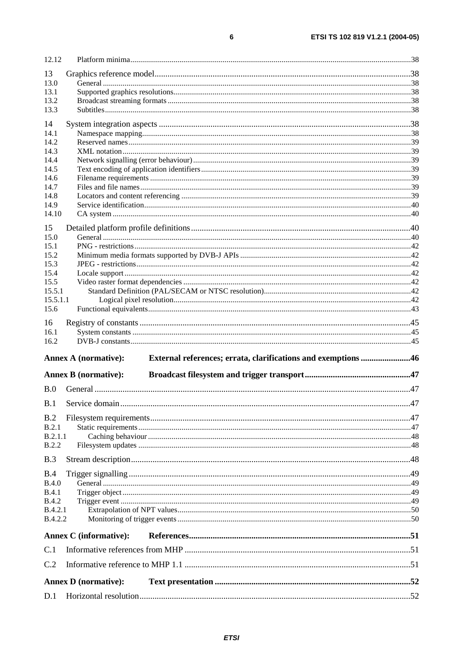| 12.12              |                               |                                                               |  |
|--------------------|-------------------------------|---------------------------------------------------------------|--|
| 13                 |                               |                                                               |  |
| 13.0               |                               |                                                               |  |
| 13.1               |                               |                                                               |  |
| 13.2               |                               |                                                               |  |
| 13.3               |                               |                                                               |  |
| 14                 |                               |                                                               |  |
| 14.1               |                               |                                                               |  |
| 14.2               |                               |                                                               |  |
| 14.3               |                               |                                                               |  |
| 14.4               |                               |                                                               |  |
| 14.5<br>14.6       |                               |                                                               |  |
| 14.7               |                               |                                                               |  |
| 14.8               |                               |                                                               |  |
| 14.9               |                               |                                                               |  |
| 14.10              |                               |                                                               |  |
| 15                 |                               |                                                               |  |
| 15.0               |                               |                                                               |  |
| 15.1               |                               |                                                               |  |
| 15.2               |                               |                                                               |  |
| 15.3               |                               |                                                               |  |
| 15.4               |                               |                                                               |  |
| 15.5               |                               |                                                               |  |
| 15.5.1             |                               |                                                               |  |
| 15.5.1.1           |                               |                                                               |  |
| 15.6               |                               |                                                               |  |
| 16                 |                               |                                                               |  |
| 16.1               |                               |                                                               |  |
| 16.2               |                               |                                                               |  |
|                    | <b>Annex A (normative):</b>   | External references; errata, clarifications and exemptions 46 |  |
|                    |                               |                                                               |  |
|                    | <b>Annex B</b> (normative):   |                                                               |  |
| B.0                |                               |                                                               |  |
|                    |                               |                                                               |  |
| B.2                |                               |                                                               |  |
| B.2.1              |                               |                                                               |  |
| B.2.1.1            |                               |                                                               |  |
| B.2.2              |                               |                                                               |  |
| B.3                |                               |                                                               |  |
|                    |                               |                                                               |  |
| B.4                |                               |                                                               |  |
| B.4.0              |                               |                                                               |  |
| <b>B.4.1</b>       |                               |                                                               |  |
| <b>B.4.2</b>       |                               |                                                               |  |
| B.4.2.1<br>B.4.2.2 |                               |                                                               |  |
|                    |                               |                                                               |  |
|                    | <b>Annex C</b> (informative): |                                                               |  |
| C.1                |                               |                                                               |  |
| C.2                |                               |                                                               |  |
|                    | <b>Annex D</b> (normative):   |                                                               |  |
| D.1                |                               |                                                               |  |
|                    |                               |                                                               |  |

 $\bf 6$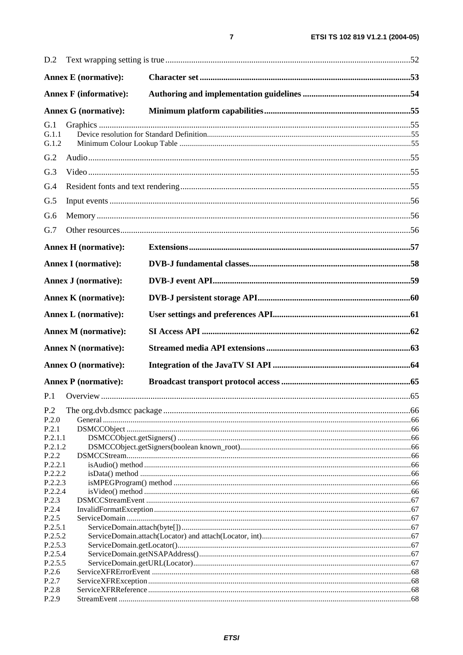| <b>Annex E</b> (normative):<br><b>Annex F</b> (informative):<br><b>Annex G (normative):</b><br>G.1<br>G.1.1<br>G.1.2<br>G.2<br>G.3<br>G.4<br>G.5<br>G.6<br>G.7<br><b>Annex H</b> (normative):<br><b>Annex I</b> (normative):<br>Annex J (normative):<br><b>Annex K</b> (normative):<br><b>Annex L</b> (normative):<br><b>Annex M</b> (normative):<br><b>Annex N</b> (normative):<br><b>Annex O</b> (normative):<br><b>Annex P</b> (normative):<br>P.1<br>P.2<br>P.2.0<br>P.2.1<br>P.2.1.1<br>P.2.1.2<br>P.2.2<br>P.2.2.1<br>P.2.2.2<br>P.2.2.3<br>P.2.2.4<br>P.2.3<br>P.2.4<br>P.2.5<br>P.2.5.1<br>P.2.5.2<br>P.2.5.3<br>P.2.5.4<br>P.2.5.5<br>P.2.6<br>P.2.7<br>P.2.8<br>P.2.9 | D.2 |  |  |  |  |
|---------------------------------------------------------------------------------------------------------------------------------------------------------------------------------------------------------------------------------------------------------------------------------------------------------------------------------------------------------------------------------------------------------------------------------------------------------------------------------------------------------------------------------------------------------------------------------------------------------------------------------------------------------------------------------|-----|--|--|--|--|
|                                                                                                                                                                                                                                                                                                                                                                                                                                                                                                                                                                                                                                                                                 |     |  |  |  |  |
|                                                                                                                                                                                                                                                                                                                                                                                                                                                                                                                                                                                                                                                                                 |     |  |  |  |  |
|                                                                                                                                                                                                                                                                                                                                                                                                                                                                                                                                                                                                                                                                                 |     |  |  |  |  |
|                                                                                                                                                                                                                                                                                                                                                                                                                                                                                                                                                                                                                                                                                 |     |  |  |  |  |
|                                                                                                                                                                                                                                                                                                                                                                                                                                                                                                                                                                                                                                                                                 |     |  |  |  |  |
|                                                                                                                                                                                                                                                                                                                                                                                                                                                                                                                                                                                                                                                                                 |     |  |  |  |  |
|                                                                                                                                                                                                                                                                                                                                                                                                                                                                                                                                                                                                                                                                                 |     |  |  |  |  |
|                                                                                                                                                                                                                                                                                                                                                                                                                                                                                                                                                                                                                                                                                 |     |  |  |  |  |
|                                                                                                                                                                                                                                                                                                                                                                                                                                                                                                                                                                                                                                                                                 |     |  |  |  |  |
|                                                                                                                                                                                                                                                                                                                                                                                                                                                                                                                                                                                                                                                                                 |     |  |  |  |  |
|                                                                                                                                                                                                                                                                                                                                                                                                                                                                                                                                                                                                                                                                                 |     |  |  |  |  |
|                                                                                                                                                                                                                                                                                                                                                                                                                                                                                                                                                                                                                                                                                 |     |  |  |  |  |
|                                                                                                                                                                                                                                                                                                                                                                                                                                                                                                                                                                                                                                                                                 |     |  |  |  |  |
|                                                                                                                                                                                                                                                                                                                                                                                                                                                                                                                                                                                                                                                                                 |     |  |  |  |  |
|                                                                                                                                                                                                                                                                                                                                                                                                                                                                                                                                                                                                                                                                                 |     |  |  |  |  |
|                                                                                                                                                                                                                                                                                                                                                                                                                                                                                                                                                                                                                                                                                 |     |  |  |  |  |
|                                                                                                                                                                                                                                                                                                                                                                                                                                                                                                                                                                                                                                                                                 |     |  |  |  |  |
|                                                                                                                                                                                                                                                                                                                                                                                                                                                                                                                                                                                                                                                                                 |     |  |  |  |  |
|                                                                                                                                                                                                                                                                                                                                                                                                                                                                                                                                                                                                                                                                                 |     |  |  |  |  |
|                                                                                                                                                                                                                                                                                                                                                                                                                                                                                                                                                                                                                                                                                 |     |  |  |  |  |
|                                                                                                                                                                                                                                                                                                                                                                                                                                                                                                                                                                                                                                                                                 |     |  |  |  |  |
|                                                                                                                                                                                                                                                                                                                                                                                                                                                                                                                                                                                                                                                                                 |     |  |  |  |  |
|                                                                                                                                                                                                                                                                                                                                                                                                                                                                                                                                                                                                                                                                                 |     |  |  |  |  |
|                                                                                                                                                                                                                                                                                                                                                                                                                                                                                                                                                                                                                                                                                 |     |  |  |  |  |
|                                                                                                                                                                                                                                                                                                                                                                                                                                                                                                                                                                                                                                                                                 |     |  |  |  |  |
|                                                                                                                                                                                                                                                                                                                                                                                                                                                                                                                                                                                                                                                                                 |     |  |  |  |  |
|                                                                                                                                                                                                                                                                                                                                                                                                                                                                                                                                                                                                                                                                                 |     |  |  |  |  |
|                                                                                                                                                                                                                                                                                                                                                                                                                                                                                                                                                                                                                                                                                 |     |  |  |  |  |
|                                                                                                                                                                                                                                                                                                                                                                                                                                                                                                                                                                                                                                                                                 |     |  |  |  |  |
|                                                                                                                                                                                                                                                                                                                                                                                                                                                                                                                                                                                                                                                                                 |     |  |  |  |  |
|                                                                                                                                                                                                                                                                                                                                                                                                                                                                                                                                                                                                                                                                                 |     |  |  |  |  |
|                                                                                                                                                                                                                                                                                                                                                                                                                                                                                                                                                                                                                                                                                 |     |  |  |  |  |
|                                                                                                                                                                                                                                                                                                                                                                                                                                                                                                                                                                                                                                                                                 |     |  |  |  |  |
|                                                                                                                                                                                                                                                                                                                                                                                                                                                                                                                                                                                                                                                                                 |     |  |  |  |  |
|                                                                                                                                                                                                                                                                                                                                                                                                                                                                                                                                                                                                                                                                                 |     |  |  |  |  |
|                                                                                                                                                                                                                                                                                                                                                                                                                                                                                                                                                                                                                                                                                 |     |  |  |  |  |
|                                                                                                                                                                                                                                                                                                                                                                                                                                                                                                                                                                                                                                                                                 |     |  |  |  |  |
|                                                                                                                                                                                                                                                                                                                                                                                                                                                                                                                                                                                                                                                                                 |     |  |  |  |  |
|                                                                                                                                                                                                                                                                                                                                                                                                                                                                                                                                                                                                                                                                                 |     |  |  |  |  |
|                                                                                                                                                                                                                                                                                                                                                                                                                                                                                                                                                                                                                                                                                 |     |  |  |  |  |
|                                                                                                                                                                                                                                                                                                                                                                                                                                                                                                                                                                                                                                                                                 |     |  |  |  |  |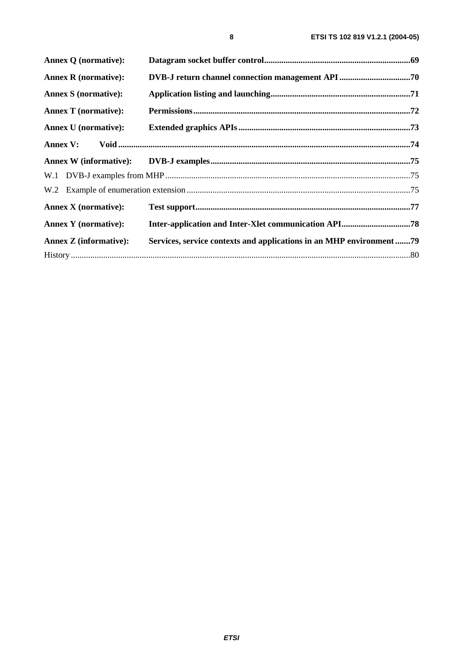| <b>Annex Q (normative):</b>   |                                                                      |  |
|-------------------------------|----------------------------------------------------------------------|--|
| <b>Annex R</b> (normative):   |                                                                      |  |
| <b>Annex S</b> (normative):   |                                                                      |  |
| <b>Annex T</b> (normative):   |                                                                      |  |
| <b>Annex U</b> (normative):   |                                                                      |  |
|                               |                                                                      |  |
|                               |                                                                      |  |
|                               |                                                                      |  |
|                               |                                                                      |  |
| <b>Annex X</b> (normative):   |                                                                      |  |
| <b>Annex Y</b> (normative):   |                                                                      |  |
| <b>Annex Z</b> (informative): | Services, service contexts and applications in an MHP environment 79 |  |
|                               |                                                                      |  |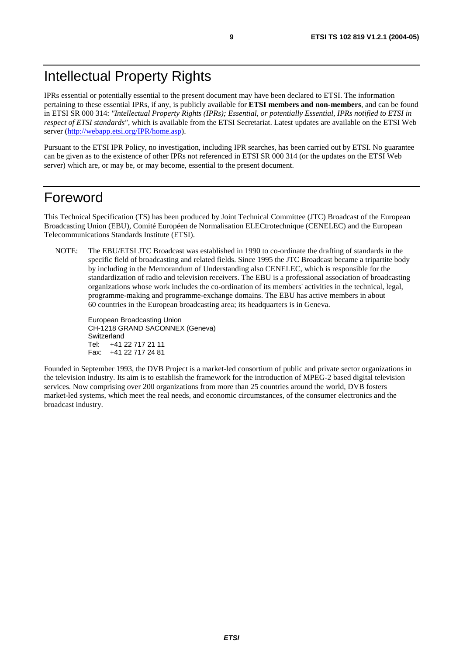# Intellectual Property Rights

IPRs essential or potentially essential to the present document may have been declared to ETSI. The information pertaining to these essential IPRs, if any, is publicly available for **ETSI members and non-members**, and can be found in ETSI SR 000 314: *"Intellectual Property Rights (IPRs); Essential, or potentially Essential, IPRs notified to ETSI in respect of ETSI standards"*, which is available from the ETSI Secretariat. Latest updates are available on the ETSI Web server (<http://webapp.etsi.org/IPR/home.asp>).

Pursuant to the ETSI IPR Policy, no investigation, including IPR searches, has been carried out by ETSI. No guarantee can be given as to the existence of other IPRs not referenced in ETSI SR 000 314 (or the updates on the ETSI Web server) which are, or may be, or may become, essential to the present document.

# Foreword

This Technical Specification (TS) has been produced by Joint Technical Committee (JTC) Broadcast of the European Broadcasting Union (EBU), Comité Européen de Normalisation ELECtrotechnique (CENELEC) and the European Telecommunications Standards Institute (ETSI).

NOTE: The EBU/ETSI JTC Broadcast was established in 1990 to co-ordinate the drafting of standards in the specific field of broadcasting and related fields. Since 1995 the JTC Broadcast became a tripartite body by including in the Memorandum of Understanding also CENELEC, which is responsible for the standardization of radio and television receivers. The EBU is a professional association of broadcasting organizations whose work includes the co-ordination of its members' activities in the technical, legal, programme-making and programme-exchange domains. The EBU has active members in about 60 countries in the European broadcasting area; its headquarters is in Geneva.

European Broadcasting Union CH-1218 GRAND SACONNEX (Geneva) Switzerland Tel: +41 22 717 21 11 Fax: +41 22 717 24 81

Founded in September 1993, the DVB Project is a market-led consortium of public and private sector organizations in the television industry. Its aim is to establish the framework for the introduction of MPEG-2 based digital television services. Now comprising over 200 organizations from more than 25 countries around the world, DVB fosters market-led systems, which meet the real needs, and economic circumstances, of the consumer electronics and the broadcast industry.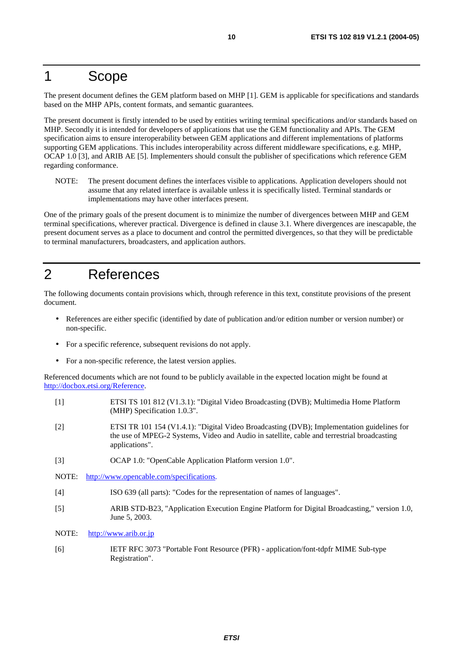# 1 Scope

The present document defines the GEM platform based on MHP [1]. GEM is applicable for specifications and standards based on the MHP APIs, content formats, and semantic guarantees.

The present document is firstly intended to be used by entities writing terminal specifications and/or standards based on MHP. Secondly it is intended for developers of applications that use the GEM functionality and APIs. The GEM specification aims to ensure interoperability between GEM applications and different implementations of platforms supporting GEM applications. This includes interoperability across different middleware specifications, e.g. MHP, OCAP 1.0 [3], and ARIB AE [5]. Implementers should consult the publisher of specifications which reference GEM regarding conformance.

NOTE: The present document defines the interfaces visible to applications. Application developers should not assume that any related interface is available unless it is specifically listed. Terminal standards or implementations may have other interfaces present.

One of the primary goals of the present document is to minimize the number of divergences between MHP and GEM terminal specifications, wherever practical. Divergence is defined in clause 3.1. Where divergences are inescapable, the present document serves as a place to document and control the permitted divergences, so that they will be predictable to terminal manufacturers, broadcasters, and application authors.

# 2 References

The following documents contain provisions which, through reference in this text, constitute provisions of the present document.

- References are either specific (identified by date of publication and/or edition number or version number) or non-specific.
- For a specific reference, subsequent revisions do not apply.
- For a non-specific reference, the latest version applies.

Referenced documents which are not found to be publicly available in the expected location might be found at <http://docbox.etsi.org/Reference>.

- [1] ETSI TS 101 812 (V1.3.1): "Digital Video Broadcasting (DVB); Multimedia Home Platform (MHP) Specification 1.0.3".
- [2] ETSI TR 101 154 (V1.4.1): "Digital Video Broadcasting (DVB); Implementation guidelines for the use of MPEG-2 Systems, Video and Audio in satellite, cable and terrestrial broadcasting applications".
- [3] OCAP 1.0: "OpenCable Application Platform version 1.0".
- NOTE: <http://www.opencable.com/specifications>.
- [4] ISO 639 (all parts): "Codes for the representation of names of languages".
- [5] ARIB STD-B23, "Application Execution Engine Platform for Digital Broadcasting," version 1.0, June 5, 2003.
- NOTE: [http://www.arib.or.jp](http://www.arib.or.jp/)
- [6] IETF RFC 3073 "Portable Font Resource (PFR) application/font-tdpfr MIME Sub-type Registration".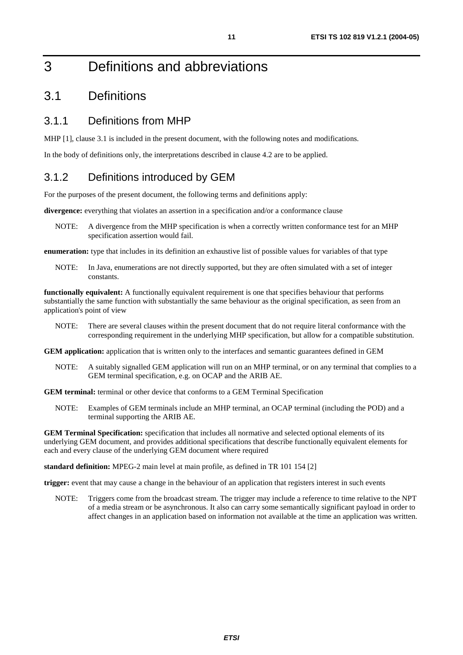# 3 Definitions and abbreviations

# 3.1 Definitions

### 3.1.1 Definitions from MHP

MHP [1], clause 3.1 is included in the present document, with the following notes and modifications.

In the body of definitions only, the interpretations described in clause 4.2 are to be applied.

# 3.1.2 Definitions introduced by GEM

For the purposes of the present document, the following terms and definitions apply:

**divergence:** everything that violates an assertion in a specification and/or a conformance clause

NOTE: A divergence from the MHP specification is when a correctly written conformance test for an MHP specification assertion would fail.

**enumeration:** type that includes in its definition an exhaustive list of possible values for variables of that type

NOTE: In Java, enumerations are not directly supported, but they are often simulated with a set of integer constants.

**functionally equivalent:** A functionally equivalent requirement is one that specifies behaviour that performs substantially the same function with substantially the same behaviour as the original specification, as seen from an application's point of view

NOTE: There are several clauses within the present document that do not require literal conformance with the corresponding requirement in the underlying MHP specification, but allow for a compatible substitution.

**GEM application:** application that is written only to the interfaces and semantic guarantees defined in GEM

NOTE: A suitably signalled GEM application will run on an MHP terminal, or on any terminal that complies to a GEM terminal specification, e.g. on OCAP and the ARIB AE.

**GEM terminal:** terminal or other device that conforms to a GEM Terminal Specification

NOTE: Examples of GEM terminals include an MHP terminal, an OCAP terminal (including the POD) and a terminal supporting the ARIB AE.

**GEM Terminal Specification:** specification that includes all normative and selected optional elements of its underlying GEM document, and provides additional specifications that describe functionally equivalent elements for each and every clause of the underlying GEM document where required

**standard definition:** MPEG-2 main level at main profile, as defined in TR 101 154 [2]

**trigger:** event that may cause a change in the behaviour of an application that registers interest in such events

NOTE: Triggers come from the broadcast stream. The trigger may include a reference to time relative to the NPT of a media stream or be asynchronous. It also can carry some semantically significant payload in order to affect changes in an application based on information not available at the time an application was written.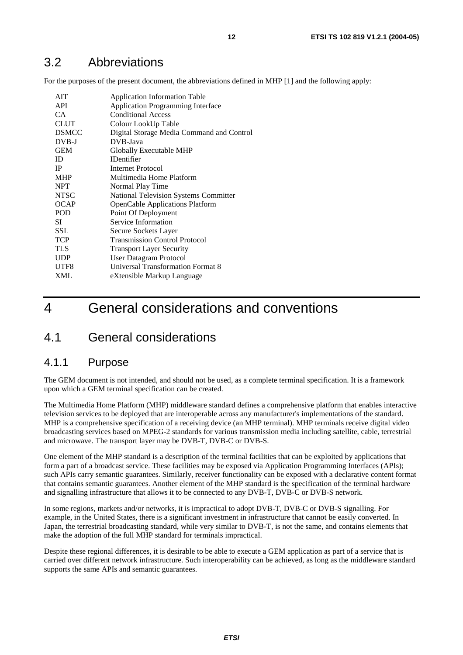# 3.2 Abbreviations

For the purposes of the present document, the abbreviations defined in MHP [1] and the following apply:

| <b>AIT</b>   | <b>Application Information Table</b>         |
|--------------|----------------------------------------------|
| <b>API</b>   | <b>Application Programming Interface</b>     |
| CA.          | <b>Conditional Access</b>                    |
| CLUT         | Colour LookUp Table                          |
| <b>DSMCC</b> | Digital Storage Media Command and Control    |
| DVB-J        | DVB-Java                                     |
| <b>GEM</b>   | Globally Executable MHP                      |
| ID           | <b>IDentifier</b>                            |
| IP           | <b>Internet Protocol</b>                     |
| <b>MHP</b>   | Multimedia Home Platform                     |
| <b>NPT</b>   | Normal Play Time                             |
| <b>NTSC</b>  | <b>National Television Systems Committer</b> |
| <b>OCAP</b>  | <b>OpenCable Applications Platform</b>       |
| <b>POD</b>   | Point Of Deployment                          |
| SІ           | Service Information                          |
| SSL          | Secure Sockets Layer                         |
| <b>TCP</b>   | <b>Transmission Control Protocol</b>         |
| TLS          | <b>Transport Layer Security</b>              |
| <b>UDP</b>   | User Datagram Protocol                       |
| UTF8         | <b>Universal Transformation Format 8</b>     |
| XML          | eXtensible Markup Language                   |
|              |                                              |

# 4 General considerations and conventions

# 4.1 General considerations

#### 4.1.1 Purpose

The GEM document is not intended, and should not be used, as a complete terminal specification. It is a framework upon which a GEM terminal specification can be created.

The Multimedia Home Platform (MHP) middleware standard defines a comprehensive platform that enables interactive television services to be deployed that are interoperable across any manufacturer's implementations of the standard. MHP is a comprehensive specification of a receiving device (an MHP terminal). MHP terminals receive digital video broadcasting services based on MPEG-2 standards for various transmission media including satellite, cable, terrestrial and microwave. The transport layer may be DVB-T, DVB-C or DVB-S.

One element of the MHP standard is a description of the terminal facilities that can be exploited by applications that form a part of a broadcast service. These facilities may be exposed via Application Programming Interfaces (APIs); such APIs carry semantic guarantees. Similarly, receiver functionality can be exposed with a declarative content format that contains semantic guarantees. Another element of the MHP standard is the specification of the terminal hardware and signalling infrastructure that allows it to be connected to any DVB-T, DVB-C or DVB-S network.

In some regions, markets and/or networks, it is impractical to adopt DVB-T, DVB-C or DVB-S signalling. For example, in the United States, there is a significant investment in infrastructure that cannot be easily converted. In Japan, the terrestrial broadcasting standard, while very similar to DVB-T, is not the same, and contains elements that make the adoption of the full MHP standard for terminals impractical.

Despite these regional differences, it is desirable to be able to execute a GEM application as part of a service that is carried over different network infrastructure. Such interoperability can be achieved, as long as the middleware standard supports the same APIs and semantic guarantees.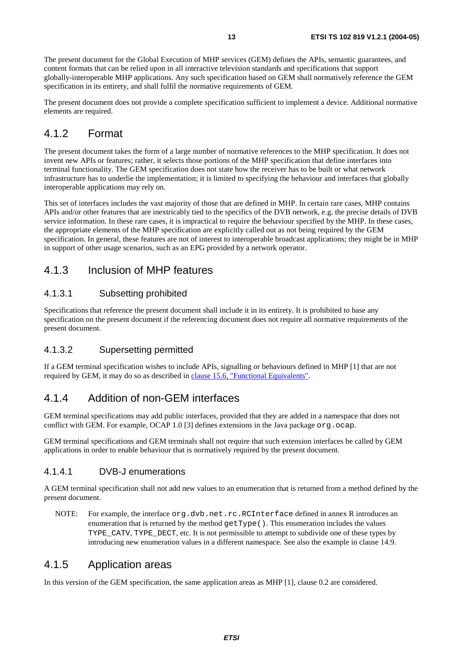The present document for the Global Execution of MHP services (GEM) defines the APIs, semantic guarantees, and content formats that can be relied upon in all interactive television standards and specifications that support globally-interoperable MHP applications. Any such specification based on GEM shall normatively reference the GEM specification in its entirety, and shall fulfil the normative requirements of GEM.

The present document does not provide a complete specification sufficient to implement a device. Additional normative elements are required.

### 4.1.2 Format

The present document takes the form of a large number of normative references to the MHP specification. It does not invent new APIs or features; rather, it selects those portions of the MHP specification that define interfaces into terminal functionality. The GEM specification does not state how the receiver has to be built or what network infrastructure has to underlie the implementation; it is limited to specifying the behaviour and interfaces that globally interoperable applications may rely on.

This set of interfaces includes the vast majority of those that are defined in MHP. In certain rare cases, MHP contains APIs and/or other features that are inextricably tied to the specifics of the DVB network, e.g. the precise details of DVB service information. In these rare cases, it is impractical to require the behaviour specified by the MHP. In these cases, the appropriate elements of the MHP specification are explicitly called out as not being required by the GEM specification. In general, these features are not of interest to interoperable broadcast applications; they might be in MHP in support of other usage scenarios, such as an EPG provided by a network operator.

# 4.1.3 Inclusion of MHP features

#### 4.1.3.1 Subsetting prohibited

Specifications that reference the present document shall include it in its entirety. It is prohibited to base any specification on the present document if the referencing document does not require all normative requirements of the present document.

#### 4.1.3.2 Supersetting permitted

If a GEM terminal specification wishes to include APIs, signalling or behaviours defined in MHP [1] that are not required by GEM, it may do so as described in [clause 15.6, "Functional Equivalents"](#page-42-0).

### 4.1.4 Addition of non-GEM interfaces

GEM terminal specifications may add public interfaces, provided that they are added in a namespace that does not conflict with GEM. For example, OCAP 1.0 [3] defines extensions in the Java package  $\sigma$ rg.ocap.

GEM terminal specifications and GEM terminals shall not require that such extension interfaces be called by GEM applications in order to enable behaviour that is normatively required by the present document.

#### 4.1.4.1 DVB-J enumerations

A GEM terminal specification shall not add new values to an enumeration that is returned from a method defined by the present document.

NOTE: For example, the interface org.dvb.net.rc.RCInterface defined in annex R introduces an enumeration that is returned by the method  $getType($ ). This enumeration includes the values TYPE\_CATV, TYPE\_DECT, etc. It is not permissible to attempt to subdivide one of these types by introducing new enumeration values in a different namespace. See also the example in clause 14.9.

# 4.1.5 Application areas

In this version of the GEM specification, the same application areas as MHP [1], clause 0.2 are considered.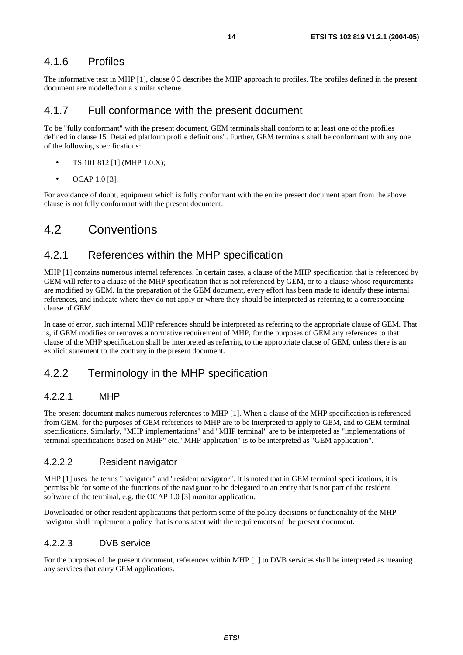### 4.1.6 Profiles

The informative text in MHP [1], clause 0.3 describes the MHP approach to profiles. The profiles defined in the present document are modelled on a similar scheme.

#### 4.1.7 Full conformance with the present document

To be "fully conformant" with the present document, GEM terminals shall conform to at least one of the profiles defined in clause 15 Detailed platform profile definitions". Further, GEM terminals shall be conformant with any one of the following specifications:

- TS 101 812 [1] (MHP 1.0.X);
- OCAP  $1.0$  [3].

For avoidance of doubt, equipment which is fully conformant with the entire present document apart from the above clause is not fully conformant with the present document.

# 4.2 Conventions

### 4.2.1 References within the MHP specification

MHP [1] contains numerous internal references. In certain cases, a clause of the MHP specification that is referenced by GEM will refer to a clause of the MHP specification that is not referenced by GEM, or to a clause whose requirements are modified by GEM. In the preparation of the GEM document, every effort has been made to identify these internal references, and indicate where they do not apply or where they should be interpreted as referring to a corresponding clause of GEM.

In case of error, such internal MHP references should be interpreted as referring to the appropriate clause of GEM. That is, if GEM modifies or removes a normative requirement of MHP, for the purposes of GEM any references to that clause of the MHP specification shall be interpreted as referring to the appropriate clause of GEM, unless there is an explicit statement to the contrary in the present document.

# 4.2.2 Terminology in the MHP specification

#### 4.2.2.1 MHP

The present document makes numerous references to MHP [1]. When a clause of the MHP specification is referenced from GEM, for the purposes of GEM references to MHP are to be interpreted to apply to GEM, and to GEM terminal specifications. Similarly, "MHP implementations" and "MHP terminal" are to be interpreted as "implementations of terminal specifications based on MHP" etc. "MHP application" is to be interpreted as "GEM application".

#### 4.2.2.2 Resident navigator

MHP [1] uses the terms "navigator" and "resident navigator". It is noted that in GEM terminal specifications, it is permissible for some of the functions of the navigator to be delegated to an entity that is not part of the resident software of the terminal, e.g. the OCAP 1.0 [3] monitor application.

Downloaded or other resident applications that perform some of the policy decisions or functionality of the MHP navigator shall implement a policy that is consistent with the requirements of the present document.

#### 4.2.2.3 DVB service

For the purposes of the present document, references within MHP [1] to DVB services shall be interpreted as meaning any services that carry GEM applications.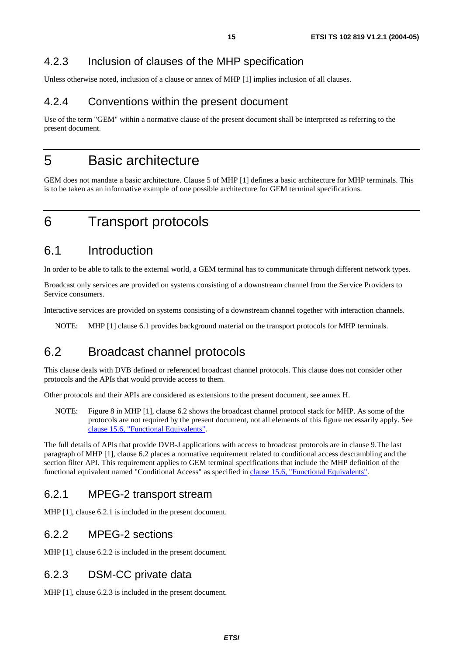# 4.2.3 Inclusion of clauses of the MHP specification

Unless otherwise noted, inclusion of a clause or annex of MHP [1] implies inclusion of all clauses.

# 4.2.4 Conventions within the present document

Use of the term "GEM" within a normative clause of the present document shall be interpreted as referring to the present document.

# 5 Basic architecture

GEM does not mandate a basic architecture. Clause 5 of MHP [1] defines a basic architecture for MHP terminals. This is to be taken as an informative example of one possible architecture for GEM terminal specifications.

# 6 Transport protocols

# 6.1 Introduction

In order to be able to talk to the external world, a GEM terminal has to communicate through different network types.

Broadcast only services are provided on systems consisting of a downstream channel from the Service Providers to Service consumers.

Interactive services are provided on systems consisting of a downstream channel together with interaction channels.

NOTE: MHP [1] clause 6.1 provides background material on the transport protocols for MHP terminals.

# 6.2 Broadcast channel protocols

This clause deals with DVB defined or referenced broadcast channel protocols. This clause does not consider other protocols and the APIs that would provide access to them.

Other protocols and their APIs are considered as extensions to the present document, see annex H.

NOTE: Figure 8 in MHP [1], clause 6.2 shows the broadcast channel protocol stack for MHP. As some of the protocols are not required by the present document, not all elements of this figure necessarily apply. See [clause 15.6, "Functional Equivalents"](#page-42-0).

The full details of APIs that provide DVB-J applications with access to broadcast protocols are in clause 9.The last paragraph of MHP [1], clause 6.2 places a normative requirement related to conditional access descrambling and the section filter API. This requirement applies to GEM terminal specifications that include the MHP definition of the functional equivalent named "Conditional Access" as specified in [clause 15.6, "Functional Equivalents"](#page-42-0).

# 6.2.1 MPEG-2 transport stream

MHP [1], clause 6.2.1 is included in the present document.

### 6.2.2 MPEG-2 sections

MHP [1], clause 6.2.2 is included in the present document.

### 6.2.3 DSM-CC private data

MHP [1], clause 6.2.3 is included in the present document.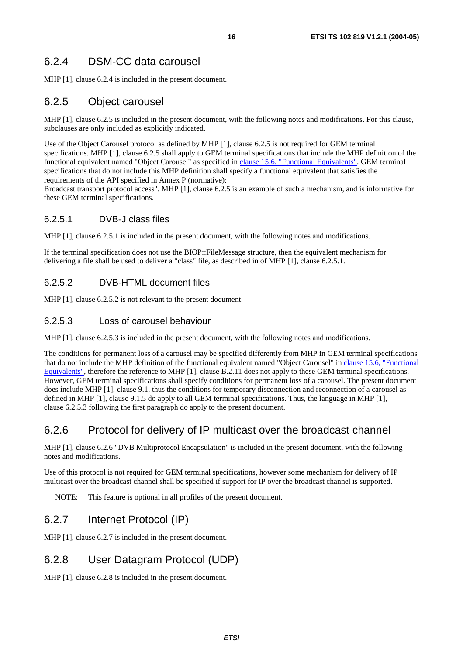# 6.2.4 DSM-CC data carousel

MHP [1], clause 6.2.4 is included in the present document.

# 6.2.5 Object carousel

MHP [1], clause 6.2.5 is included in the present document, with the following notes and modifications. For this clause, subclauses are only included as explicitly indicated.

Use of the Object Carousel protocol as defined by MHP [1], clause 6.2.5 is not required for GEM terminal specifications. MHP [1], clause 6.2.5 shall apply to GEM terminal specifications that include the MHP definition of the functional equivalent named "Object Carousel" as specified in [clause 15.6, "Functional Equivalents"](#page-42-0). GEM terminal specifications that do not include this MHP definition shall specify a functional equivalent that satisfies the requirements of the API specified in Annex P (normative):

Broadcast transport protocol access". MHP [1], clause 6.2.5 is an example of such a mechanism, and is informative for these GEM terminal specifications.

#### 6.2.5.1 DVB-J class files

MHP [1], clause 6.2.5.1 is included in the present document, with the following notes and modifications.

If the terminal specification does not use the BIOP::FileMessage structure, then the equivalent mechanism for delivering a file shall be used to deliver a "class" file, as described in of MHP [1], clause 6.2.5.1.

#### 6.2.5.2 DVB-HTML document files

MHP [1], clause 6.2.5.2 is not relevant to the present document.

#### 6.2.5.3 Loss of carousel behaviour

MHP [1], clause 6.2.5.3 is included in the present document, with the following notes and modifications.

The conditions for permanent loss of a carousel may be specified differently from MHP in GEM terminal specifications that do not include the MHP definition of the functional equivalent named "Object Carousel" in [clause 15.6, "Functional](#page-42-0)  [Equivalents"](#page-42-0), therefore the reference to MHP [1], clause B.2.11 does not apply to these GEM terminal specifications. However, GEM terminal specifications shall specify conditions for permanent loss of a carousel. The present document does include MHP [1], clause 9.1, thus the conditions for temporary disconnection and reconnection of a carousel as defined in MHP [1], clause 9.1.5 do apply to all GEM terminal specifications. Thus, the language in MHP [1], clause 6.2.5.3 following the first paragraph do apply to the present document.

# 6.2.6 Protocol for delivery of IP multicast over the broadcast channel

MHP [1], clause 6.2.6 "DVB Multiprotocol Encapsulation" is included in the present document, with the following notes and modifications.

Use of this protocol is not required for GEM terminal specifications, however some mechanism for delivery of IP multicast over the broadcast channel shall be specified if support for IP over the broadcast channel is supported.

NOTE: This feature is optional in all profiles of the present document.

# 6.2.7 Internet Protocol (IP)

MHP [1], clause 6.2.7 is included in the present document.

# 6.2.8 User Datagram Protocol (UDP)

MHP [1], clause 6.2.8 is included in the present document.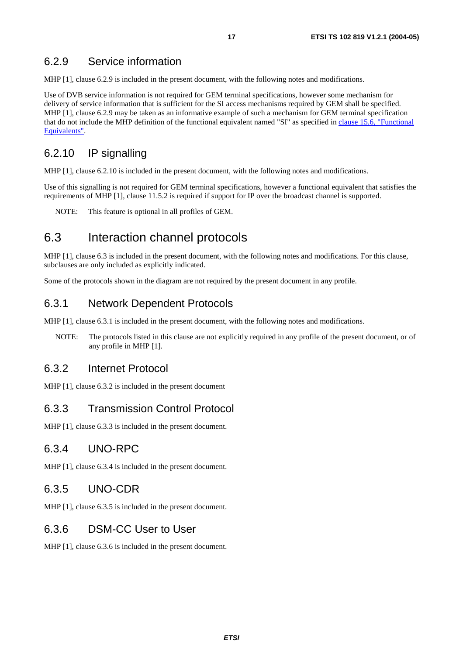### 6.2.9 Service information

MHP [1], clause 6.2.9 is included in the present document, with the following notes and modifications.

Use of DVB service information is not required for GEM terminal specifications, however some mechanism for delivery of service information that is sufficient for the SI access mechanisms required by GEM shall be specified. MHP [1], clause 6.2.9 may be taken as an informative example of such a mechanism for GEM terminal specification that do not include the MHP definition of the functional equivalent named "SI" as specified in [clause 15.6, "Functional](#page-42-0)  [Equivalents"](#page-42-0).

# 6.2.10 IP signalling

MHP [1], clause 6.2.10 is included in the present document, with the following notes and modifications.

Use of this signalling is not required for GEM terminal specifications, however a functional equivalent that satisfies the requirements of MHP [1], clause 11.5.2 is required if support for IP over the broadcast channel is supported.

NOTE: This feature is optional in all profiles of GEM.

# 6.3 Interaction channel protocols

MHP [1], clause 6.3 is included in the present document, with the following notes and modifications. For this clause, subclauses are only included as explicitly indicated.

Some of the protocols shown in the diagram are not required by the present document in any profile.

### 6.3.1 Network Dependent Protocols

MHP [1], clause 6.3.1 is included in the present document, with the following notes and modifications.

NOTE: The protocols listed in this clause are not explicitly required in any profile of the present document, or of any profile in MHP [1].

#### 6.3.2 Internet Protocol

MHP [1], clause 6.3.2 is included in the present document

### 6.3.3 Transmission Control Protocol

MHP [1], clause 6.3.3 is included in the present document.

#### 6.3.4 UNO-RPC

MHP [1], clause 6.3.4 is included in the present document.

#### 6.3.5 UNO-CDR

MHP [1], clause 6.3.5 is included in the present document.

### 6.3.6 DSM-CC User to User

MHP [1], clause 6.3.6 is included in the present document.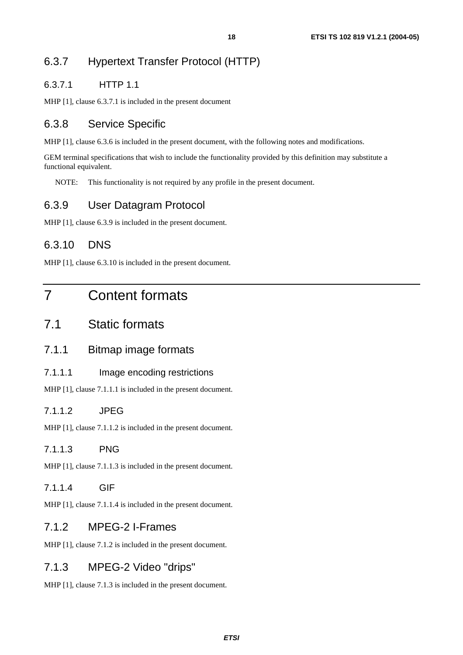#### 6.3.7.1 HTTP 1.1

MHP [1], clause 6.3.7.1 is included in the present document

# 6.3.8 Service Specific

MHP [1], clause 6.3.6 is included in the present document, with the following notes and modifications.

GEM terminal specifications that wish to include the functionality provided by this definition may substitute a functional equivalent.

NOTE: This functionality is not required by any profile in the present document.

# 6.3.9 User Datagram Protocol

MHP [1], clause 6.3.9 is included in the present document.

# 6.3.10 DNS

MHP [1], clause 6.3.10 is included in the present document.

# 7 Content formats

# 7.1 Static formats

### 7.1.1 Bitmap image formats

#### 7.1.1.1 Image encoding restrictions

MHP [1], clause 7.1.1.1 is included in the present document.

#### 7.1.1.2 JPEG

MHP [1], clause 7.1.1.2 is included in the present document.

#### 7.1.1.3 PNG

MHP [1], clause 7.1.1.3 is included in the present document.

#### 7.1.1.4 GIF

MHP [1], clause 7.1.1.4 is included in the present document.

# 7.1.2 MPEG-2 I-Frames

MHP [1], clause 7.1.2 is included in the present document.

# 7.1.3 MPEG-2 Video "drips"

MHP [1], clause 7.1.3 is included in the present document.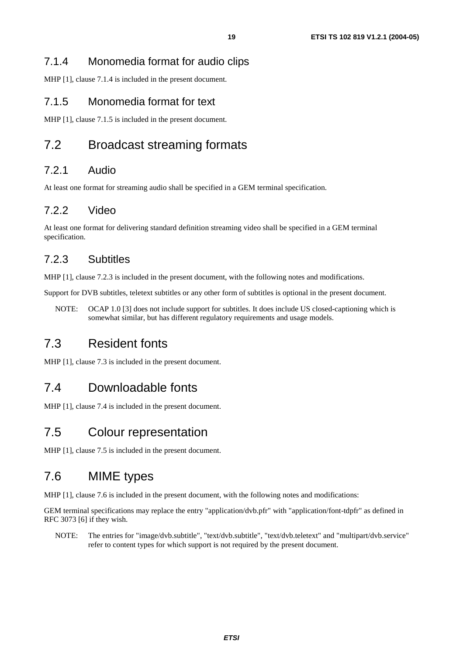# 7.1.4 Monomedia format for audio clips

MHP [1], clause 7.1.4 is included in the present document.

### 7.1.5 Monomedia format for text

MHP [1], clause 7.1.5 is included in the present document.

# 7.2 Broadcast streaming formats

# 7.2.1 Audio

At least one format for streaming audio shall be specified in a GEM terminal specification.

# 7.2.2 Video

At least one format for delivering standard definition streaming video shall be specified in a GEM terminal specification.

# 7.2.3 Subtitles

MHP [1], clause 7.2.3 is included in the present document, with the following notes and modifications.

Support for DVB subtitles, teletext subtitles or any other form of subtitles is optional in the present document.

NOTE: OCAP 1.0 [3] does not include support for subtitles. It does include US closed-captioning which is somewhat similar, but has different regulatory requirements and usage models.

# 7.3 Resident fonts

MHP [1], clause 7.3 is included in the present document.

# 7.4 Downloadable fonts

MHP [1], clause 7.4 is included in the present document.

# 7.5 Colour representation

MHP [1], clause 7.5 is included in the present document.

# 7.6 MIME types

MHP [1], clause 7.6 is included in the present document, with the following notes and modifications:

GEM terminal specifications may replace the entry "application/dvb.pfr" with "application/font-tdpfr" as defined in RFC 3073 [6] if they wish.

NOTE: The entries for "image/dvb.subtitle", "text/dvb.subtitle", "text/dvb.teletext" and "multipart/dvb.service" refer to content types for which support is not required by the present document.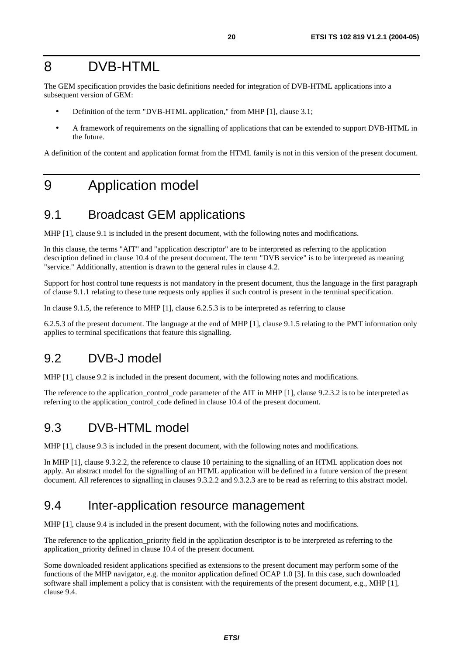# 8 DVB-HTML

The GEM specification provides the basic definitions needed for integration of DVB-HTML applications into a subsequent version of GEM:

- Definition of the term "DVB-HTML application," from MHP [1], clause 3.1;
- A framework of requirements on the signalling of applications that can be extended to support DVB-HTML in the future.

A definition of the content and application format from the HTML family is not in this version of the present document.

# 9 Application model

# 9.1 Broadcast GEM applications

MHP [1], clause 9.1 is included in the present document, with the following notes and modifications.

In this clause, the terms "AIT" and "application descriptor" are to be interpreted as referring to the application description defined in clause 10.4 of the present document. The term "DVB service" is to be interpreted as meaning "service." Additionally, attention is drawn to the general rules in clause 4.2.

Support for host control tune requests is not mandatory in the present document, thus the language in the first paragraph of clause 9.1.1 relating to these tune requests only applies if such control is present in the terminal specification.

In clause 9.1.5, the reference to MHP [1], clause 6.2.5.3 is to be interpreted as referring to clause

6.2.5.3 of the present document. The language at the end of MHP [1], clause 9.1.5 relating to the PMT information only applies to terminal specifications that feature this signalling.

# 9.2 DVB-J model

MHP [1], clause 9.2 is included in the present document, with the following notes and modifications.

The reference to the application\_control\_code parameter of the AIT in MHP [1], clause 9.2.3.2 is to be interpreted as referring to the application\_control\_code defined in clause 10.4 of the present document.

# 9.3 DVB-HTML model

MHP [1], clause 9.3 is included in the present document, with the following notes and modifications.

In MHP [1], clause 9.3.2.2, the reference to clause 10 pertaining to the signalling of an HTML application does not apply. An abstract model for the signalling of an HTML application will be defined in a future version of the present document. All references to signalling in clauses 9.3.2.2 and 9.3.2.3 are to be read as referring to this abstract model.

# 9.4 Inter-application resource management

MHP [1], clause 9.4 is included in the present document, with the following notes and modifications.

The reference to the application\_priority field in the application descriptor is to be interpreted as referring to the application\_priority defined in clause 10.4 of the present document.

Some downloaded resident applications specified as extensions to the present document may perform some of the functions of the MHP navigator, e.g. the monitor application defined OCAP 1.0 [3]. In this case, such downloaded software shall implement a policy that is consistent with the requirements of the present document, e.g., MHP [1], clause 9.4.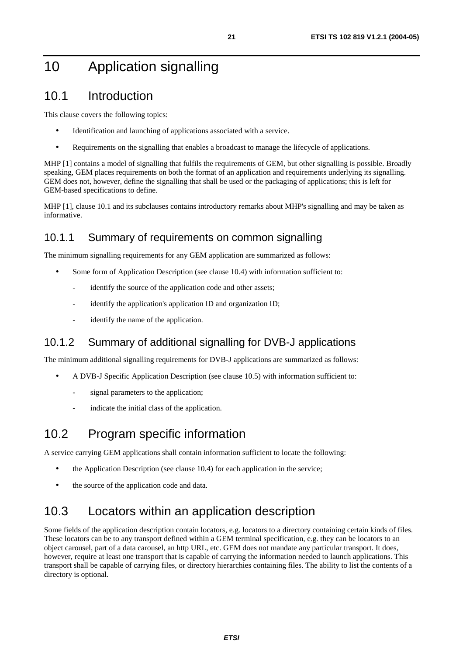# 10 Application signalling

# 10.1 Introduction

This clause covers the following topics:

- Identification and launching of applications associated with a service.
- Requirements on the signalling that enables a broadcast to manage the lifecycle of applications.

MHP [1] contains a model of signalling that fulfils the requirements of GEM, but other signalling is possible. Broadly speaking, GEM places requirements on both the format of an application and requirements underlying its signalling. GEM does not, however, define the signalling that shall be used or the packaging of applications; this is left for GEM-based specifications to define.

MHP [1], clause 10.1 and its subclauses contains introductory remarks about MHP's signalling and may be taken as informative.

### 10.1.1 Summary of requirements on common signalling

The minimum signalling requirements for any GEM application are summarized as follows:

- Some form of Application Description (see clause 10.4) with information sufficient to:
	- identify the source of the application code and other assets;
	- identify the application's application ID and organization ID;
	- identify the name of the application.

# 10.1.2 Summary of additional signalling for DVB-J applications

The minimum additional signalling requirements for DVB-J applications are summarized as follows:

- A DVB-J Specific Application Description (see clause 10.5) with information sufficient to:
	- signal parameters to the application;
	- indicate the initial class of the application.

# 10.2 Program specific information

A service carrying GEM applications shall contain information sufficient to locate the following:

- the Application Description (see clause 10.4) for each application in the service;
- the source of the application code and data.

# 10.3 Locators within an application description

Some fields of the application description contain locators, e.g. locators to a directory containing certain kinds of files. These locators can be to any transport defined within a GEM terminal specification, e.g. they can be locators to an object carousel, part of a data carousel, an http URL, etc. GEM does not mandate any particular transport. It does, however, require at least one transport that is capable of carrying the information needed to launch applications. This transport shall be capable of carrying files, or directory hierarchies containing files. The ability to list the contents of a directory is optional.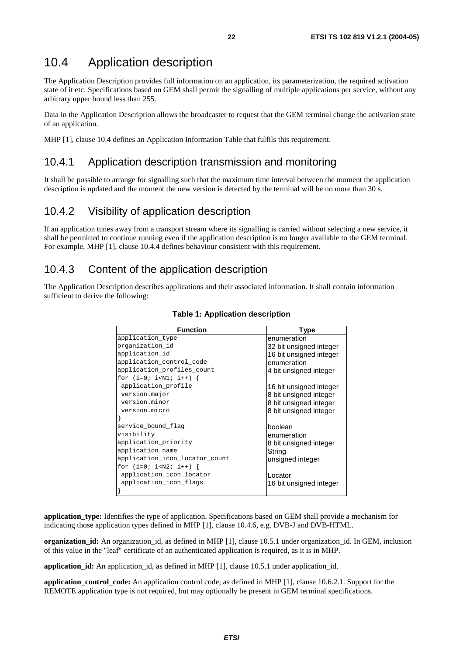# 10.4 Application description

The Application Description provides full information on an application, its parameterization, the required activation state of it etc. Specifications based on GEM shall permit the signalling of multiple applications per service, without any arbitrary upper bound less than 255.

Data in the Application Description allows the broadcaster to request that the GEM terminal change the activation state of an application.

MHP [1], clause 10.4 defines an Application Information Table that fulfils this requirement.

#### 10.4.1 Application description transmission and monitoring

It shall be possible to arrange for signalling such that the maximum time interval between the moment the application description is updated and the moment the new version is detected by the terminal will be no more than 30 s.

### 10.4.2 Visibility of application description

If an application tunes away from a transport stream where its signalling is carried without selecting a new service, it shall be permitted to continue running even if the application description is no longer available to the GEM terminal. For example, MHP [1], clause 10.4.4 defines behaviour consistent with this requirement.

### 10.4.3 Content of the application description

The Application Description describes applications and their associated information. It shall contain information sufficient to derive the following:

| <b>Function</b>                | Type                    |
|--------------------------------|-------------------------|
| application_type               | enumeration             |
| organization_id                | 32 bit unsigned integer |
| application_id                 | 16 bit unsigned integer |
| application_control_code       | enumeration             |
| application_profiles_count     | 4 bit unsigned integer  |
| for $(i=0; i {$                |                         |
| application_profile            | 16 bit unsigned integer |
| version.major                  | 8 bit unsigned integer  |
| version.minor                  | 8 bit unsigned integer  |
| version.micro                  | 8 bit unsigned integer  |
|                                |                         |
| service_bound_flag             | boolean                 |
| visibility                     | enumeration             |
| application_priority           | 8 bit unsigned integer  |
| application_name               | String                  |
| application_icon_locator_count | unsigned integer        |
| for $(i=0; i {$                |                         |
| application_icon_locator       | Locator                 |
| application_icon_flags         | 16 bit unsigned integer |
|                                |                         |

#### **Table 1: Application description**

**application\_type:** Identifies the type of application. Specifications based on GEM shall provide a mechanism for indicating those application types defined in MHP [1], clause 10.4.6, e.g. DVB-J and DVB-HTML.

**organization id:** An organization id, as defined in MHP [1], clause 10.5.1 under organization id. In GEM, inclusion of this value in the "leaf" certificate of an authenticated application is required, as it is in MHP.

**application\_id:** An application\_id, as defined in MHP [1], clause 10.5.1 under application\_id.

**application** control code: An application control code, as defined in MHP [1], clause 10.6.2.1. Support for the REMOTE application type is not required, but may optionally be present in GEM terminal specifications.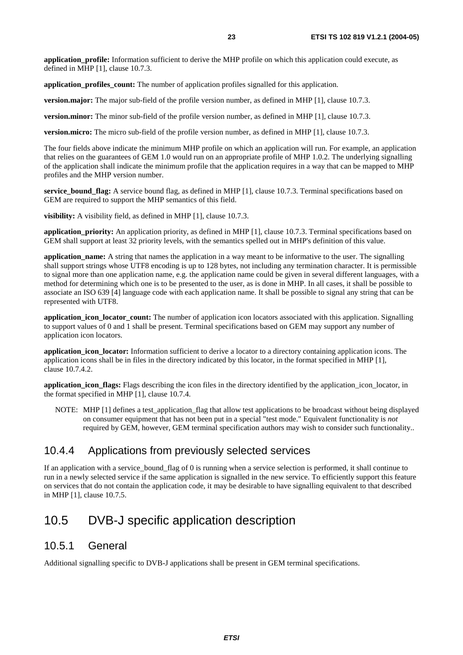**application** profile: Information sufficient to derive the MHP profile on which this application could execute, as defined in MHP [1], clause 10.7.3.

**application profiles count:** The number of application profiles signalled for this application.

**version.major:** The major sub-field of the profile version number, as defined in MHP [1], clause 10.7.3.

**version.minor:** The minor sub-field of the profile version number, as defined in MHP [1], clause 10.7.3.

**version.micro:** The micro sub-field of the profile version number, as defined in MHP [1], clause 10.7.3.

The four fields above indicate the minimum MHP profile on which an application will run. For example, an application that relies on the guarantees of GEM 1.0 would run on an appropriate profile of MHP 1.0.2. The underlying signalling of the application shall indicate the minimum profile that the application requires in a way that can be mapped to MHP profiles and the MHP version number.

**service\_bound\_flag:** A service bound flag, as defined in MHP [1], clause 10.7.3. Terminal specifications based on GEM are required to support the MHP semantics of this field.

**visibility:** A visibility field, as defined in MHP [1], clause 10.7.3.

**application\_priority:** An application priority, as defined in MHP [1], clause 10.7.3. Terminal specifications based on GEM shall support at least 32 priority levels, with the semantics spelled out in MHP's definition of this value.

**application\_name:** A string that names the application in a way meant to be informative to the user. The signalling shall support strings whose UTF8 encoding is up to 128 bytes, not including any termination character. It is permissible to signal more than one application name, e.g. the application name could be given in several different languages, with a method for determining which one is to be presented to the user, as is done in MHP. In all cases, it shall be possible to associate an ISO 639 [4] language code with each application name. It shall be possible to signal any string that can be represented with UTF8.

**application\_icon\_locator\_count:** The number of application icon locators associated with this application. Signalling to support values of 0 and 1 shall be present. Terminal specifications based on GEM may support any number of application icon locators.

**application icon locator:** Information sufficient to derive a locator to a directory containing application icons. The application icons shall be in files in the directory indicated by this locator, in the format specified in MHP [1], clause 10.7.4.2.

**application\_icon\_flags:** Flags describing the icon files in the directory identified by the application\_icon\_locator, in the format specified in MHP [1], clause 10.7.4.

NOTE: MHP [1] defines a test\_application\_flag that allow test applications to be broadcast without being displayed on consumer equipment that has not been put in a special "test mode." Equivalent functionality is *not* required by GEM, however, GEM terminal specification authors may wish to consider such functionality..

### 10.4.4 Applications from previously selected services

If an application with a service\_bound\_flag of 0 is running when a service selection is performed, it shall continue to run in a newly selected service if the same application is signalled in the new service. To efficiently support this feature on services that do not contain the application code, it may be desirable to have signalling equivalent to that described in MHP [1], clause 10.7.5.

# 10.5 DVB-J specific application description

#### 10.5.1 General

Additional signalling specific to DVB-J applications shall be present in GEM terminal specifications.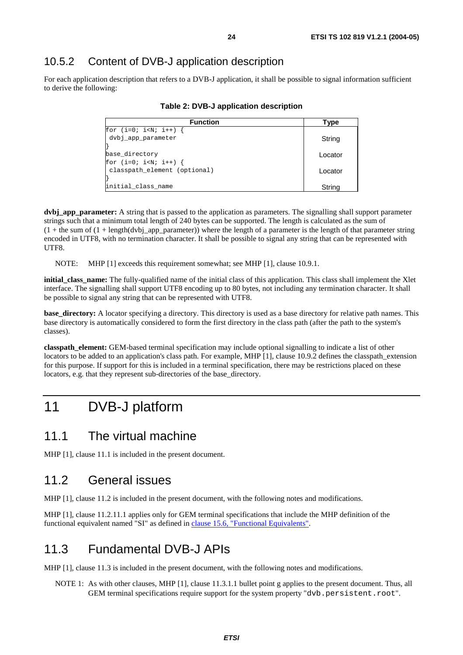### 10.5.2 Content of DVB-J application description

For each application description that refers to a DVB-J application, it shall be possible to signal information sufficient to derive the following:

| <b>Function</b>              | Type    |
|------------------------------|---------|
| for $(i=0; i$                |         |
| dvbj_app_parameter           | String  |
|                              |         |
| base directory               | Locator |
| for $(i=0; i {$              |         |
| classpath element (optional) | Locator |
|                              |         |
| initial_class_name           | String  |

#### **Table 2: DVB-J application description**

**dvbj\_app\_parameter:** A string that is passed to the application as parameters. The signalling shall support parameter strings such that a minimum total length of 240 bytes can be supported. The length is calculated as the sum of  $(1 +$  the sum of  $(1 + \text{length}(dvbj_aapp_parameter))$  where the length of a parameter is the length of that parameter string encoded in UTF8, with no termination character. It shall be possible to signal any string that can be represented with UTF8.

NOTE: MHP [1] exceeds this requirement somewhat; see MHP [1], clause 10.9.1.

**initial\_class\_name:** The fully-qualified name of the initial class of this application. This class shall implement the Xlet interface. The signalling shall support UTF8 encoding up to 80 bytes, not including any termination character. It shall be possible to signal any string that can be represented with UTF8.

**base\_directory:** A locator specifying a directory. This directory is used as a base directory for relative path names. This base directory is automatically considered to form the first directory in the class path (after the path to the system's classes).

**classpath** element: GEM-based terminal specification may include optional signalling to indicate a list of other locators to be added to an application's class path. For example, MHP [1], clause 10.9.2 defines the classpath extension for this purpose. If support for this is included in a terminal specification, there may be restrictions placed on these locators, e.g. that they represent sub-directories of the base\_directory.

# 11 DVB-J platform

# 11.1 The virtual machine

MHP [1], clause 11.1 is included in the present document.

# 11.2 General issues

MHP [1], clause 11.2 is included in the present document, with the following notes and modifications.

MHP [1], clause 11.2.11.1 applies only for GEM terminal specifications that include the MHP definition of the functional equivalent named "SI" as defined in [clause 15.6, "Functional Equivalents"](#page-42-0).

### 11.3 Fundamental DVB-J APIs

MHP [1], clause 11.3 is included in the present document, with the following notes and modifications.

NOTE 1: As with other clauses, MHP [1], clause 11.3.1.1 bullet point g applies to the present document. Thus, all GEM terminal specifications require support for the system property "dvb.persistent.root".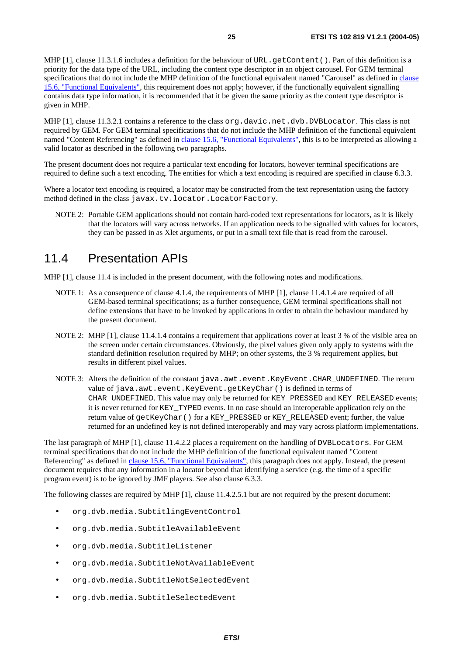MHP [1], clause 11.3.1.6 includes a definition for the behaviour of URL.getContent(). Part of this definition is a priority for the data type of the URL, including the content type descriptor in an object carousel. For GEM terminal specifications that do not include the MHP definition of the functional equivalent named "Carousel" as defined in [clause](#page-42-0)  [15.6, "Functional Equivalents"](#page-42-0), this requirement does not apply; however, if the functionally equivalent signalling contains data type information, it is recommended that it be given the same priority as the content type descriptor is given in MHP.

MHP [1], clause 11.3.2.1 contains a reference to the class org.davic.net.dvb.DVBLocator. This class is not required by GEM. For GEM terminal specifications that do not include the MHP definition of the functional equivalent named "Content Referencing" as defined in [clause 15.6, "Functional Equivalents"](#page-42-0), this is to be interpreted as allowing a valid locator as described in the following two paragraphs.

The present document does not require a particular text encoding for locators, however terminal specifications are required to define such a text encoding. The entities for which a text encoding is required are specified in clause 6.3.3.

Where a locator text encoding is required, a locator may be constructed from the text representation using the factory method defined in the class javax.tv.locator.LocatorFactory.

NOTE 2: Portable GEM applications should not contain hard-coded text representations for locators, as it is likely that the locators will vary across networks. If an application needs to be signalled with values for locators, they can be passed in as Xlet arguments, or put in a small text file that is read from the carousel.

# 11.4 Presentation APIs

MHP [1], clause 11.4 is included in the present document, with the following notes and modifications.

- NOTE 1: As a consequence of clause 4.1.4, the requirements of MHP [1], clause 11.4.1.4 are required of all GEM-based terminal specifications; as a further consequence, GEM terminal specifications shall not define extensions that have to be invoked by applications in order to obtain the behaviour mandated by the present document.
- NOTE 2: MHP [1], clause 11.4.1.4 contains a requirement that applications cover at least 3 % of the visible area on the screen under certain circumstances. Obviously, the pixel values given only apply to systems with the standard definition resolution required by MHP; on other systems, the 3 % requirement applies, but results in different pixel values.
- NOTE 3: Alters the definition of the constant java.awt.event.KeyEvent.CHAR\_UNDEFINED. The return value of java.awt.event.KeyEvent.getKeyChar() is defined in terms of CHAR\_UNDEFINED. This value may only be returned for KEY\_PRESSED and KEY\_RELEASED events; it is never returned for KEY\_TYPED events. In no case should an interoperable application rely on the return value of getKeyChar() for a KEY\_PRESSED or KEY\_RELEASED event; further, the value returned for an undefined key is not defined interoperably and may vary across platform implementations.

The last paragraph of MHP [1], clause 11.4.2.2 places a requirement on the handling of DVBLocators. For GEM terminal specifications that do not include the MHP definition of the functional equivalent named "Content Referencing" as defined in [clause 15.6, "Functional Equivalents"](#page-42-0), this paragraph does not apply. Instead, the present document requires that any information in a locator beyond that identifying a service (e.g. the time of a specific program event) is to be ignored by JMF players. See also clause 6.3.3.

The following classes are required by MHP [1], clause 11.4.2.5.1 but are not required by the present document:

- org.dvb.media.SubtitlingEventControl
- org.dvb.media.SubtitleAvailableEvent
- org.dvb.media.SubtitleListener
- org.dvb.media.SubtitleNotAvailableEvent
- org.dvb.media.SubtitleNotSelectedEvent
- org.dvb.media.SubtitleSelectedEvent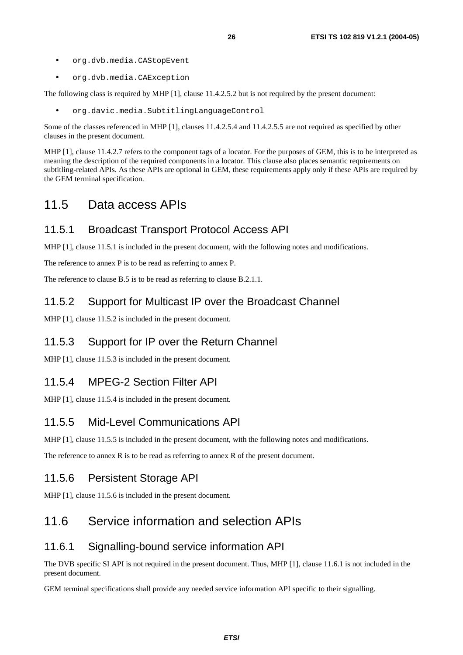- org.dvb.media.CAStopEvent
- org.dvb.media.CAException

The following class is required by MHP [1], clause 11.4.2.5.2 but is not required by the present document:

• org.davic.media.SubtitlingLanguageControl

Some of the classes referenced in MHP [1], clauses 11.4.2.5.4 and 11.4.2.5.5 are not required as specified by other clauses in the present document.

MHP [1], clause 11.4.2.7 refers to the component tags of a locator. For the purposes of GEM, this is to be interpreted as meaning the description of the required components in a locator. This clause also places semantic requirements on subtitling-related APIs. As these APIs are optional in GEM, these requirements apply only if these APIs are required by the GEM terminal specification.

# 11.5 Data access APIs

# 11.5.1 Broadcast Transport Protocol Access API

MHP [1], clause 11.5.1 is included in the present document, with the following notes and modifications.

The reference to annex P is to be read as referring to annex P.

The reference to clause B.5 is to be read as referring to clause B.2.1.1.

### 11.5.2 Support for Multicast IP over the Broadcast Channel

MHP [1], clause 11.5.2 is included in the present document.

# 11.5.3 Support for IP over the Return Channel

MHP [1], clause 11.5.3 is included in the present document.

# 11.5.4 MPEG-2 Section Filter API

MHP [1], clause 11.5.4 is included in the present document.

# 11.5.5 Mid-Level Communications API

MHP [1], clause 11.5.5 is included in the present document, with the following notes and modifications.

The reference to annex R is to be read as referring to annex R of the present document.

### 11.5.6 Persistent Storage API

MHP [1], clause 11.5.6 is included in the present document.

# 11.6 Service information and selection APIs

# 11.6.1 Signalling-bound service information API

The DVB specific SI API is not required in the present document. Thus, MHP [1], clause 11.6.1 is not included in the present document.

GEM terminal specifications shall provide any needed service information API specific to their signalling.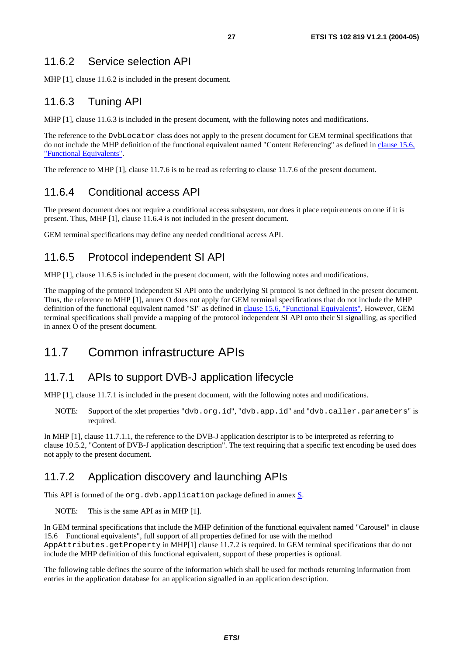# 11.6.2 Service selection API

MHP [1], clause 11.6.2 is included in the present document.

# 11.6.3 Tuning API

MHP [1], clause 11.6.3 is included in the present document, with the following notes and modifications.

The reference to the DvbLocator class does not apply to the present document for GEM terminal specifications that do not include the MHP definition of the functional equivalent named "Content Referencing" as defined in [clause 15.6,](#page-42-0)  ["Functional Equivalents"](#page-42-0).

The reference to MHP [1], clause 11.7.6 is to be read as referring to clause 11.7.6 of the present document.

# 11.6.4 Conditional access API

The present document does not require a conditional access subsystem, nor does it place requirements on one if it is present. Thus, MHP [1], clause 11.6.4 is not included in the present document.

GEM terminal specifications may define any needed conditional access API.

# 11.6.5 Protocol independent SI API

MHP [1], clause 11.6.5 is included in the present document, with the following notes and modifications.

The mapping of the protocol independent SI API onto the underlying SI protocol is not defined in the present document. Thus, the reference to MHP [1], annex O does not apply for GEM terminal specifications that do not include the MHP definition of the functional equivalent named "SI" as defined in [clause 15.6, "Functional Equivalents"](#page-42-0). However, GEM terminal specifications shall provide a mapping of the protocol independent SI API onto their SI signalling, as specified in annex O of the present document.

# 11.7 Common infrastructure APIs

# 11.7.1 APIs to support DVB-J application lifecycle

MHP [1], clause 11.7.1 is included in the present document, with the following notes and modifications.

NOTE: Support of the xlet properties "dvb.org.id", "dvb.app.id" and "dvb.caller.parameters" is required.

In MHP [1], clause 11.7.1.1, the reference to the DVB-J application descriptor is to be interpreted as referring to clause 10.5.2, "Content of DVB-J application description". The text requiring that a specific text encoding be used does not apply to the present document.

# 11.7.2 Application discovery and launching APIs

This API is formed of the org.dvb.application package defined in annex [S](#page-70-0).

NOTE: This is the same API as in MHP [1].

In GEM terminal specifications that include the MHP definition of the functional equivalent named "Carousel" in clause 15.6 Functional equivalents", full support of all properties defined for use with the method AppAttributes.getProperty in MHP[1] clause 11.7.2 is required. In GEM terminal specifications that do not include the MHP definition of this functional equivalent, support of these properties is optional.

The following table defines the source of the information which shall be used for methods returning information from entries in the application database for an application signalled in an application description.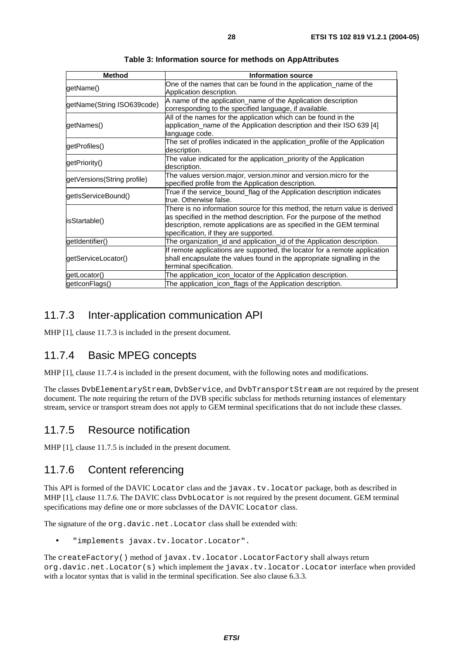| <b>Method</b>               | <b>Information source</b>                                                                                                                                                                                                                                              |  |
|-----------------------------|------------------------------------------------------------------------------------------------------------------------------------------------------------------------------------------------------------------------------------------------------------------------|--|
| getName()                   | One of the names that can be found in the application_name of the<br>Application description.                                                                                                                                                                          |  |
| getName(String ISO639code)  | A name of the application_name of the Application description<br>corresponding to the specified language, if available.                                                                                                                                                |  |
| getNames()                  | All of the names for the application which can be found in the<br>application_name of the Application description and their ISO 639 [4]<br>language code.                                                                                                              |  |
| getProfiles()               | The set of profiles indicated in the application_profile of the Application<br>description.                                                                                                                                                                            |  |
| getPriority()               | The value indicated for the application_priority of the Application<br>description.                                                                                                                                                                                    |  |
| getVersions(String profile) | The values version.major, version.minor and version.micro for the<br>specified profile from the Application description.                                                                                                                                               |  |
| getIsServiceBound()         | True if the service_bound_flag of the Application description indicates<br>true. Otherwise false.                                                                                                                                                                      |  |
| isStartable()               | There is no information source for this method, the return value is derived<br>as specified in the method description. For the purpose of the method<br>description, remote applications are as specified in the GEM terminal<br>specification, if they are supported. |  |
| getIdentifier()             | The organization_id and application_id of the Application description.                                                                                                                                                                                                 |  |
| getServiceLocator()         | If remote applications are supported, the locator for a remote application<br>shall encapsulate the values found in the appropriate signalling in the<br>terminal specification.                                                                                       |  |
| getLocator()                | The application_icon_locator of the Application description.                                                                                                                                                                                                           |  |
| getIconFlags()              | The application_icon_flags of the Application description.                                                                                                                                                                                                             |  |

**Table 3: Information source for methods on AppAttributes** 

# 11.7.3 Inter-application communication API

MHP [1], clause 11.7.3 is included in the present document.

# 11.7.4 Basic MPEG concepts

MHP [1], clause 11.7.4 is included in the present document, with the following notes and modifications.

The classes DvbElementaryStream, DvbService, and DvbTransportStream are not required by the present document. The note requiring the return of the DVB specific subclass for methods returning instances of elementary stream, service or transport stream does not apply to GEM terminal specifications that do not include these classes.

# 11.7.5 Resource notification

MHP [1], clause 11.7.5 is included in the present document.

# 11.7.6 Content referencing

This API is formed of the DAVIC Locator class and the javax.tv.locator package, both as described in MHP [1], clause 11.7.6. The DAVIC class DvbLocator is not required by the present document. GEM terminal specifications may define one or more subclasses of the DAVIC Locator class.

The signature of the org.davic.net.Locator class shall be extended with:

• "implements javax.tv.locator.Locator".

The createFactory() method of javax.tv.locator.LocatorFactory shall always return org.davic.net.Locator(s) which implement the javax.tv.locator.Locator interface when provided with a locator syntax that is valid in the terminal specification. See also clause 6.3.3.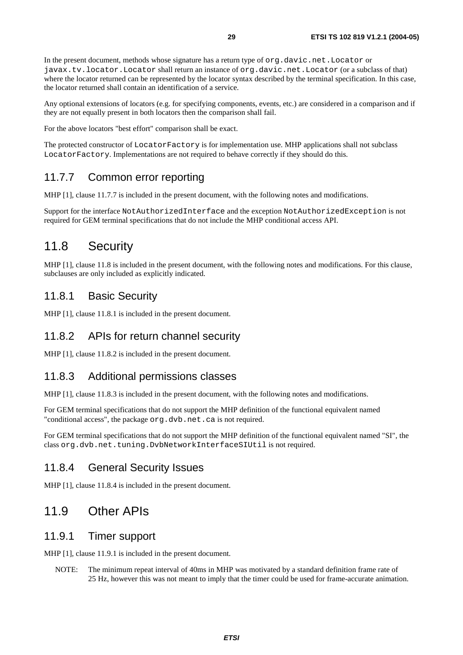In the present document, methods whose signature has a return type of org.davic.net.Locator or javax.tv.locator.Locator shall return an instance of org.davic.net.Locator (or a subclass of that) where the locator returned can be represented by the locator syntax described by the terminal specification. In this case, the locator returned shall contain an identification of a service.

Any optional extensions of locators (e.g. for specifying components, events, etc.) are considered in a comparison and if they are not equally present in both locators then the comparison shall fail.

For the above locators "best effort" comparison shall be exact.

The protected constructor of LocatorFactory is for implementation use. MHP applications shall not subclass LocatorFactory. Implementations are not required to behave correctly if they should do this.

#### 11.7.7 Common error reporting

MHP [1], clause 11.7.7 is included in the present document, with the following notes and modifications.

Support for the interface NotAuthorizedInterface and the exception NotAuthorizedException is not required for GEM terminal specifications that do not include the MHP conditional access API.

# 11.8 Security

MHP [1], clause 11.8 is included in the present document, with the following notes and modifications. For this clause, subclauses are only included as explicitly indicated.

#### 11.8.1 Basic Security

MHP [1], clause 11.8.1 is included in the present document.

### 11.8.2 APIs for return channel security

MHP [1], clause 11.8.2 is included in the present document.

#### 11.8.3 Additional permissions classes

MHP [1], clause 11.8.3 is included in the present document, with the following notes and modifications.

For GEM terminal specifications that do not support the MHP definition of the functional equivalent named "conditional access", the package org.dvb.net.ca is not required.

For GEM terminal specifications that do not support the MHP definition of the functional equivalent named "SI", the class org.dvb.net.tuning.DvbNetworkInterfaceSIUtil is not required.

#### 11.8.4 General Security Issues

MHP [1], clause 11.8.4 is included in the present document.

# 11.9 Other APIs

#### 11.9.1 Timer support

MHP [1], clause 11.9.1 is included in the present document.

NOTE: The minimum repeat interval of 40ms in MHP was motivated by a standard definition frame rate of 25 Hz, however this was not meant to imply that the timer could be used for frame-accurate animation.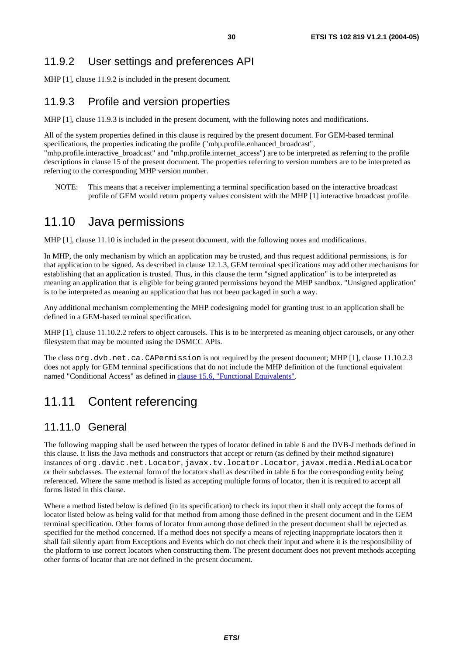# <span id="page-29-0"></span>11.9.2 User settings and preferences API

MHP [1], clause 11.9.2 is included in the present document.

# 11.9.3 Profile and version properties

MHP [1], clause 11.9.3 is included in the present document, with the following notes and modifications.

All of the system properties defined in this clause is required by the present document. For GEM-based terminal specifications, the properties indicating the profile ("mhp.profile.enhanced\_broadcast",

"mhp.profile.interactive\_broadcast" and "mhp.profile.internet\_access") are to be interpreted as referring to the profile descriptions in clause 15 of the present document. The properties referring to version numbers are to be interpreted as referring to the corresponding MHP version number.

NOTE: This means that a receiver implementing a terminal specification based on the interactive broadcast profile of GEM would return property values consistent with the MHP [1] interactive broadcast profile.

# 11.10 Java permissions

MHP [1], clause 11.10 is included in the present document, with the following notes and modifications.

In MHP, the only mechanism by which an application may be trusted, and thus request additional permissions, is for that application to be signed. As described in clause 12.1.3, GEM terminal specifications may add other mechanisms for establishing that an application is trusted. Thus, in this clause the term "signed application" is to be interpreted as meaning an application that is eligible for being granted permissions beyond the MHP sandbox. "Unsigned application" is to be interpreted as meaning an application that has not been packaged in such a way.

Any additional mechanism complementing the MHP codesigning model for granting trust to an application shall be defined in a GEM-based terminal specification.

MHP [1], clause 11.10.2.2 refers to object carousels. This is to be interpreted as meaning object carousels, or any other filesystem that may be mounted using the DSMCC APIs.

The class org.dvb.net.ca.CAPermission is not required by the present document; MHP [1], clause 11.10.2.3 does not apply for GEM terminal specifications that do not include the MHP definition of the functional equivalent named "Conditional Access" as defined in [clause 15.6, "Functional Equivalents"](#page-42-0).

# 11.11 Content referencing

### 11.11.0 General

The following mapping shall be used between the types of locator defined in table 6 and the DVB-J methods defined in this clause. It lists the Java methods and constructors that accept or return (as defined by their method signature) instances of org.davic.net.Locator, javax.tv.locator.Locator, javax.media.MediaLocator or their subclasses. The external form of the locators shall as described in table 6 for the corresponding entity being referenced. Where the same method is listed as accepting multiple forms of locator, then it is required to accept all forms listed in this clause.

Where a method listed below is defined (in its specification) to check its input then it shall only accept the forms of locator listed below as being valid for that method from among those defined in the present document and in the GEM terminal specification. Other forms of locator from among those defined in the present document shall be rejected as specified for the method concerned. If a method does not specify a means of rejecting inappropriate locators then it shall fail silently apart from Exceptions and Events which do not check their input and where it is the responsibility of the platform to use correct locators when constructing them. The present document does not prevent methods accepting other forms of locator that are not defined in the present document.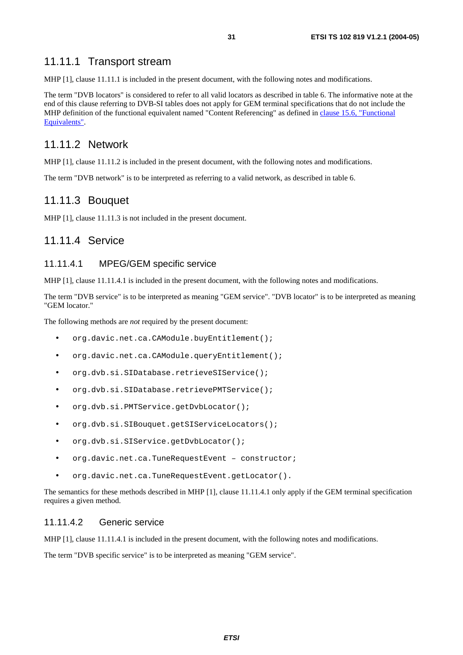#### 11.11.1 Transport stream

MHP [1], clause 11.11.1 is included in the present document, with the following notes and modifications.

The term "DVB locators" is considered to refer to all valid locators as described in table 6. The informative note at the end of this clause referring to DVB-SI tables does not apply for GEM terminal specifications that do not include the MHP definition of the functional equivalent named "Content Referencing" as defined in [clause 15.6, "Functional](#page-42-0)  [Equivalents"](#page-42-0).

#### 11.11.2 Network

MHP [1], clause 11.11.2 is included in the present document, with the following notes and modifications.

The term "DVB network" is to be interpreted as referring to a valid network, as described in table 6.

#### 11.11.3 Bouquet

MHP [1], clause 11.11.3 is not included in the present document.

#### 11.11.4 Service

#### 11.11.4.1 MPEG/GEM specific service

MHP [1], clause 11.11.4.1 is included in the present document, with the following notes and modifications.

The term "DVB service" is to be interpreted as meaning "GEM service". "DVB locator" is to be interpreted as meaning "GEM locator."

The following methods are *not* required by the present document:

- org.davic.net.ca.CAModule.buyEntitlement();
- org.davic.net.ca.CAModule.queryEntitlement();
- org.dvb.si.SIDatabase.retrieveSIService();
- org.dvb.si.SIDatabase.retrievePMTService();
- org.dvb.si.PMTService.getDvbLocator();
- org.dvb.si.SIBouquet.getSIServiceLocators();
- org.dvb.si.SIService.getDvbLocator();
- org.davic.net.ca.TuneRequestEvent constructor;
- org.davic.net.ca.TuneRequestEvent.getLocator().

The semantics for these methods described in MHP [1], clause 11.11.4.1 only apply if the GEM terminal specification requires a given method.

#### 11.11.4.2 Generic service

MHP [1], clause 11.11.4.1 is included in the present document, with the following notes and modifications.

The term "DVB specific service" is to be interpreted as meaning "GEM service".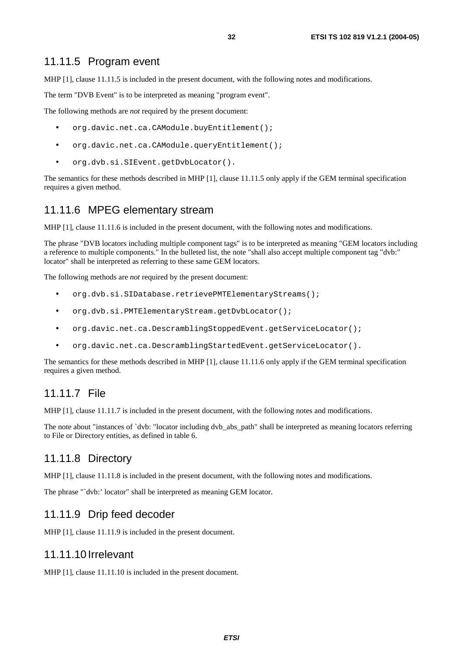#### 11.11.5 Program event

MHP [1], clause 11.11.5 is included in the present document, with the following notes and modifications.

The term "DVB Event" is to be interpreted as meaning "program event".

The following methods are *not* required by the present document:

- org.davic.net.ca.CAModule.buyEntitlement();
- org.davic.net.ca.CAModule.queryEntitlement();
- org.dvb.si.SIEvent.getDvbLocator().

The semantics for these methods described in MHP [1], clause 11.11.5 only apply if the GEM terminal specification requires a given method.

#### 11.11.6 MPEG elementary stream

MHP [1], clause 11.11.6 is included in the present document, with the following notes and modifications.

The phrase "DVB locators including multiple component tags" is to be interpreted as meaning "GEM locators including a reference to multiple components." In the bulleted list, the note "shall also accept multiple component tag "dvb:" locator" shall be interpreted as referring to these same GEM locators.

The following methods are *not* required by the present document:

- org.dvb.si.SIDatabase.retrievePMTElementaryStreams();
- org.dvb.si.PMTElementaryStream.getDvbLocator();
- org.davic.net.ca.DescramblingStoppedEvent.getServiceLocator();
- org.davic.net.ca.DescramblingStartedEvent.getServiceLocator().

The semantics for these methods described in MHP [1], clause 11.11.6 only apply if the GEM terminal specification requires a given method.

### 11.11.7 File

MHP [1], clause 11.11.7 is included in the present document, with the following notes and modifications.

The note about "instances of `dvb: "locator including dvb\_abs\_path" shall be interpreted as meaning locators referring to File or Directory entities, as defined in table 6.

#### 11.11.8 Directory

MHP [1], clause 11.11.8 is included in the present document, with the following notes and modifications.

The phrase "`dvb:' locator" shall be interpreted as meaning GEM locator.

#### 11.11.9 Drip feed decoder

MHP [1], clause 11.11.9 is included in the present document.

#### 11.11.10 Irrelevant

MHP [1], clause 11.11.10 is included in the present document.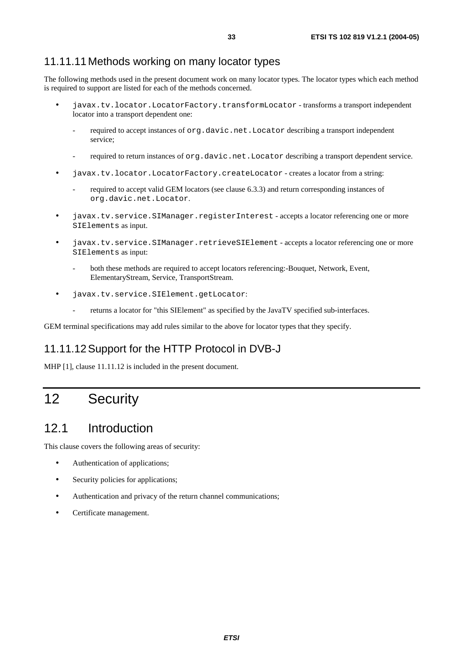### 11.11.11 Methods working on many locator types

The following methods used in the present document work on many locator types. The locator types which each method is required to support are listed for each of the methods concerned.

- javax.tv.locator.LocatorFactory.transformLocator transforms a transport independent locator into a transport dependent one:
	- required to accept instances of org.davic.net.Locator describing a transport independent service;
	- required to return instances of org.davic.net.Locator describing a transport dependent service.
- javax.tv.locator.LocatorFactory.createLocator creates a locator from a string:
	- required to accept valid GEM locators (see clause 6.3.3) and return corresponding instances of org.davic.net.Locator.
- javax.tv.service.SIManager.registerInterest accepts a locator referencing one or more SIElements as input.
- javax.tv.service.SIManager.retrieveSIElement accepts a locator referencing one or more SIElements as input:
	- both these methods are required to accept locators referencing:-Bouquet, Network, Event, ElementaryStream, Service, TransportStream.
- javax.tv.service.SIElement.getLocator:
	- returns a locator for "this SIElement" as specified by the JavaTV specified sub-interfaces.

GEM terminal specifications may add rules similar to the above for locator types that they specify.

### 11.11.12 Support for the HTTP Protocol in DVB-J

MHP [1], clause 11.11.12 is included in the present document.

# 12 Security

# 12.1 Introduction

This clause covers the following areas of security:

- Authentication of applications;
- Security policies for applications;
- Authentication and privacy of the return channel communications;
- Certificate management.

**ETSI**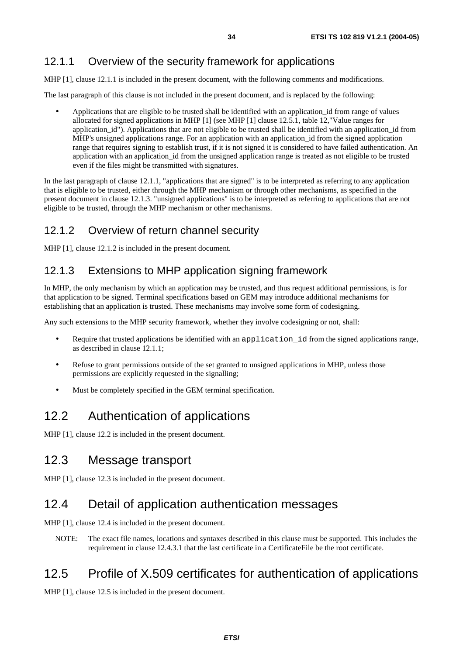# 12.1.1 Overview of the security framework for applications

MHP [1], clause 12.1.1 is included in the present document, with the following comments and modifications.

The last paragraph of this clause is not included in the present document, and is replaced by the following:

• Applications that are eligible to be trusted shall be identified with an application\_id from range of values allocated for signed applications in MHP [1] (see MHP [1] clause 12.5.1, table 12,"Value ranges for application\_id"). Applications that are not eligible to be trusted shall be identified with an application\_id from MHP's unsigned applications range. For an application with an application\_id from the signed application range that requires signing to establish trust, if it is not signed it is considered to have failed authentication. An application with an application id from the unsigned application range is treated as not eligible to be trusted even if the files might be transmitted with signatures.

In the last paragraph of clause 12.1.1, "applications that are signed" is to be interpreted as referring to any application that is eligible to be trusted, either through the MHP mechanism or through other mechanisms, as specified in the present document in clause 12.1.3. "unsigned applications" is to be interpreted as referring to applications that are not eligible to be trusted, through the MHP mechanism or other mechanisms.

# 12.1.2 Overview of return channel security

MHP [1], clause 12.1.2 is included in the present document.

# 12.1.3 Extensions to MHP application signing framework

In MHP, the only mechanism by which an application may be trusted, and thus request additional permissions, is for that application to be signed. Terminal specifications based on GEM may introduce additional mechanisms for establishing that an application is trusted. These mechanisms may involve some form of codesigning.

Any such extensions to the MHP security framework, whether they involve codesigning or not, shall:

- Require that trusted applications be identified with an application\_id from the signed applications range, as described in clause 12.1.1;
- Refuse to grant permissions outside of the set granted to unsigned applications in MHP, unless those permissions are explicitly requested in the signalling;
- Must be completely specified in the GEM terminal specification.

# 12.2 Authentication of applications

MHP [1], clause 12.2 is included in the present document.

# 12.3 Message transport

MHP [1], clause 12.3 is included in the present document.

# 12.4 Detail of application authentication messages

MHP [1], clause 12.4 is included in the present document.

NOTE: The exact file names, locations and syntaxes described in this clause must be supported. This includes the requirement in clause 12.4.3.1 that the last certificate in a CertificateFile be the root certificate.

# 12.5 Profile of X.509 certificates for authentication of applications

MHP [1], clause 12.5 is included in the present document.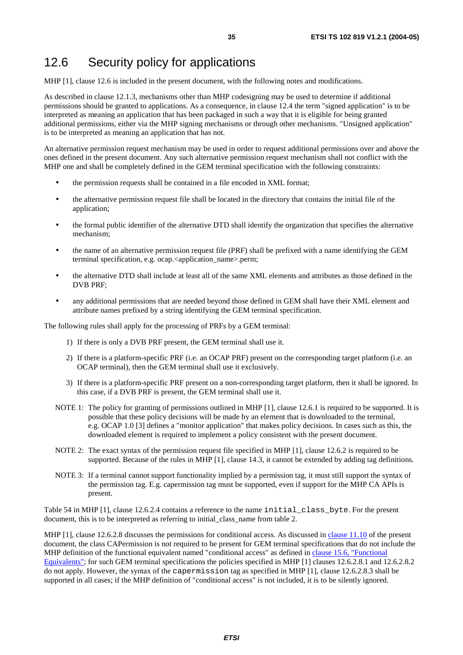# 12.6 Security policy for applications

MHP [1], clause 12.6 is included in the present document, with the following notes and modifications.

As described in clause 12.1.3, mechanisms other than MHP codesigning may be used to determine if additional permissions should be granted to applications. As a consequence, in clause 12.4 the term "signed application" is to be interpreted as meaning an application that has been packaged in such a way that it is eligible for being granted additional permissions, either via the MHP signing mechanisms or through other mechanisms. "Unsigned application" is to be interpreted as meaning an application that has not.

An alternative permission request mechanism may be used in order to request additional permissions over and above the ones defined in the present document. Any such alternative permission request mechanism shall not conflict with the MHP one and shall be completely defined in the GEM terminal specification with the following constraints:

- the permission requests shall be contained in a file encoded in XML format;
- the alternative permission request file shall be located in the directory that contains the initial file of the application;
- the formal public identifier of the alternative DTD shall identify the organization that specifies the alternative mechanism;
- the name of an alternative permission request file (PRF) shall be prefixed with a name identifying the GEM terminal specification, e.g. ocap.<application\_name>.perm;
- the alternative DTD shall include at least all of the same XML elements and attributes as those defined in the DVB PRF;
- any additional permissions that are needed beyond those defined in GEM shall have their XML element and attribute names prefixed by a string identifying the GEM terminal specification.

The following rules shall apply for the processing of PRFs by a GEM terminal:

- 1) If there is only a DVB PRF present, the GEM terminal shall use it.
- 2) If there is a platform-specific PRF (i.e. an OCAP PRF) present on the corresponding target platform (i.e. an OCAP terminal), then the GEM terminal shall use it exclusively.
- 3) If there is a platform-specific PRF present on a non-corresponding target platform, then it shall be ignored. In this case, if a DVB PRF is present, the GEM terminal shall use it.
- NOTE 1: The policy for granting of permissions outlined in MHP [1], clause 12.6.1 is required to be supported. It is possible that these policy decisions will be made by an element that is downloaded to the terminal, e.g. OCAP 1.0 [3] defines a "monitor application" that makes policy decisions. In cases such as this, the downloaded element is required to implement a policy consistent with the present document.
- NOTE 2: The exact syntax of the permission request file specified in MHP [1], clause 12.6.2 is required to be supported. Because of the rules in MHP [1], clause 14.3, it cannot be extended by adding tag definitions.
- NOTE 3: If a terminal cannot support functionality implied by a permission tag, it must still support the syntax of the permission tag. E.g. capermission tag must be supported, even if support for the MHP CA APIs is present.

Table 54 in MHP [1], clause 12.6.2.4 contains a reference to the name initial\_class\_byte. For the present document, this is to be interpreted as referring to initial\_class\_name from table 2.

MHP [1], clause 12.6.2.8 discusses the permissions for conditional access. As discussed in [clause 11.10](#page-29-0) of the present document, the class CAPermission is not required to be present for GEM terminal specifications that do not include the MHP definition of the functional equivalent named "conditional access" as defined in [clause 15.6, "Functional](#page-42-0)  [Equivalents"](#page-42-0); for such GEM terminal specifications the policies specified in MHP [1] clauses 12.6.2.8.1 and 12.6.2.8.2 do not apply. However, the syntax of the capermission tag as specified in MHP [1], clause 12.6.2.8.3 shall be supported in all cases; if the MHP definition of "conditional access" is not included, it is to be silently ignored.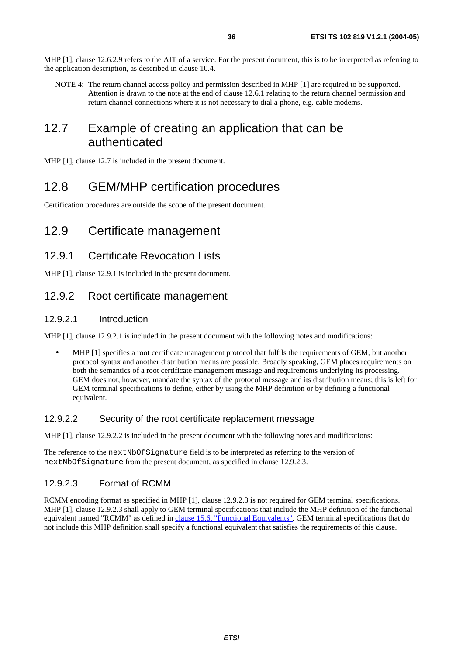NOTE 4: The return channel access policy and permission described in MHP [1] are required to be supported. Attention is drawn to the note at the end of clause 12.6.1 relating to the return channel permission and return channel connections where it is not necessary to dial a phone, e.g. cable modems.

# 12.7 Example of creating an application that can be authenticated

MHP [1], clause 12.7 is included in the present document.

# 12.8 GEM/MHP certification procedures

Certification procedures are outside the scope of the present document.

# 12.9 Certificate management

### 12.9.1 Certificate Revocation Lists

MHP [1], clause 12.9.1 is included in the present document.

### 12.9.2 Root certificate management

#### 12.9.2.1 Introduction

MHP [1], clause 12.9.2.1 is included in the present document with the following notes and modifications:

• MHP [1] specifies a root certificate management protocol that fulfils the requirements of GEM, but another protocol syntax and another distribution means are possible. Broadly speaking, GEM places requirements on both the semantics of a root certificate management message and requirements underlying its processing. GEM does not, however, mandate the syntax of the protocol message and its distribution means; this is left for GEM terminal specifications to define, either by using the MHP definition or by defining a functional equivalent.

#### 12.9.2.2 Security of the root certificate replacement message

MHP [1], clause 12.9.2.2 is included in the present document with the following notes and modifications:

The reference to the nextNbOfSignature field is to be interpreted as referring to the version of nextNbOfSignature from the present document, as specified in clause 12.9.2.3.

#### 12.9.2.3 Format of RCMM

RCMM encoding format as specified in MHP [1], clause 12.9.2.3 is not required for GEM terminal specifications. MHP [1], clause 12.9.2.3 shall apply to GEM terminal specifications that include the MHP definition of the functional equivalent named "RCMM" as defined in [clause 15.6, "Functional Equivalents"](#page-42-0). GEM terminal specifications that do not include this MHP definition shall specify a functional equivalent that satisfies the requirements of this clause.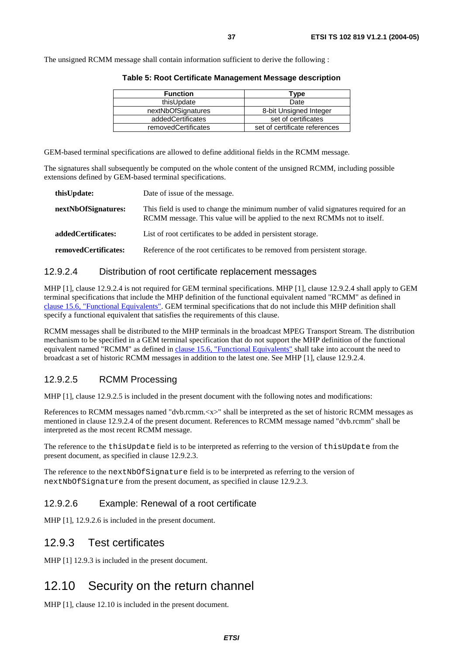The unsigned RCMM message shall contain information sufficient to derive the following :

| <b>Function</b>     | Type                          |
|---------------------|-------------------------------|
| thisUpdate          | Date                          |
| nextNbOfSignatures  | 8-bit Unsigned Integer        |
| addedCertificates   | set of certificates           |
| removedCertificates | set of certificate references |

**Table 5: Root Certificate Management Message description** 

GEM-based terminal specifications are allowed to define additional fields in the RCMM message.

The signatures shall subsequently be computed on the whole content of the unsigned RCMM, including possible extensions defined by GEM-based terminal specifications.

| this Update:         | Date of issue of the message.                                                                                                                                    |
|----------------------|------------------------------------------------------------------------------------------------------------------------------------------------------------------|
| nextNbOfSignatures:  | This field is used to change the minimum number of valid signatures required for an<br>RCMM message. This value will be applied to the next RCMMs not to itself. |
| added Certificates:  | List of root certificates to be added in persistent storage.                                                                                                     |
| removedCertificates: | Reference of the root certificates to be removed from persistent storage.                                                                                        |

#### 12.9.2.4 Distribution of root certificate replacement messages

MHP [1], clause 12.9.2.4 is not required for GEM terminal specifications. MHP [1], clause 12.9.2.4 shall apply to GEM terminal specifications that include the MHP definition of the functional equivalent named "RCMM" as defined in [clause 15.6, "Functional Equivalents"](#page-42-0). GEM terminal specifications that do not include this MHP definition shall specify a functional equivalent that satisfies the requirements of this clause.

RCMM messages shall be distributed to the MHP terminals in the broadcast MPEG Transport Stream. The distribution mechanism to be specified in a GEM terminal specification that do not support the MHP definition of the functional equivalent named "RCMM" as defined in [clause 15.6, "Functional Equivalents"](#page-42-0) shall take into account the need to broadcast a set of historic RCMM messages in addition to the latest one. See MHP [1], clause 12.9.2.4.

#### 12.9.2.5 RCMM Processing

MHP [1], clause 12.9.2.5 is included in the present document with the following notes and modifications:

References to RCMM messages named "dvb.rcmm.<x>" shall be interpreted as the set of historic RCMM messages as mentioned in clause 12.9.2.4 of the present document. References to RCMM message named "dvb.rcmm" shall be interpreted as the most recent RCMM message.

The reference to the thisUpdate field is to be interpreted as referring to the version of thisUpdate from the present document, as specified in clause 12.9.2.3.

The reference to the nextNbOfSignature field is to be interpreted as referring to the version of nextNbOfSignature from the present document, as specified in clause 12.9.2.3.

#### 12.9.2.6 Example: Renewal of a root certificate

MHP [1], 12.9.2.6 is included in the present document.

#### 12.9.3 Test certificates

MHP [1] 12.9.3 is included in the present document.

#### 12.10 Security on the return channel

MHP [1], clause 12.10 is included in the present document.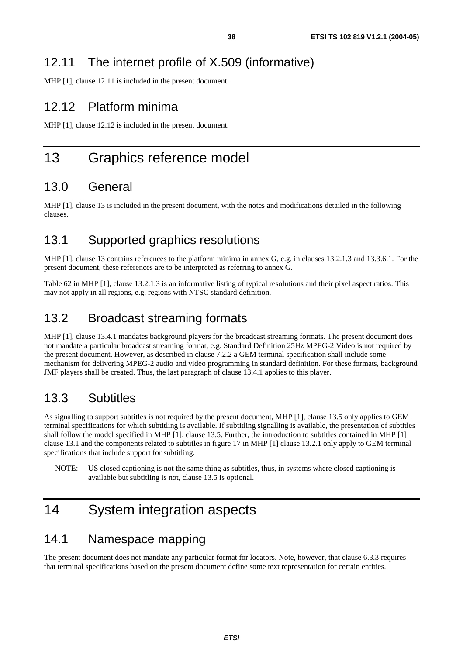MHP [1], clause 12.11 is included in the present document.

## 12.12 Platform minima

MHP [1], clause 12.12 is included in the present document.

## 13 Graphics reference model

## 13.0 General

MHP [1], clause 13 is included in the present document, with the notes and modifications detailed in the following clauses.

## 13.1 Supported graphics resolutions

MHP [1], clause 13 contains references to the platform minima in annex G, e.g. in clauses 13.2.1.3 and 13.3.6.1. For the present document, these references are to be interpreted as referring to annex G.

Table 62 in MHP [1], clause 13.2.1.3 is an informative listing of typical resolutions and their pixel aspect ratios. This may not apply in all regions, e.g. regions with NTSC standard definition.

## 13.2 Broadcast streaming formats

MHP [1], clause 13.4.1 mandates background players for the broadcast streaming formats. The present document does not mandate a particular broadcast streaming format, e.g. Standard Definition 25Hz MPEG-2 Video is not required by the present document. However, as described in clause 7.2.2 a GEM terminal specification shall include some mechanism for delivering MPEG-2 audio and video programming in standard definition. For these formats, background JMF players shall be created. Thus, the last paragraph of clause 13.4.1 applies to this player.

## 13.3 Subtitles

As signalling to support subtitles is not required by the present document, MHP [1], clause 13.5 only applies to GEM terminal specifications for which subtitling is available. If subtitling signalling is available, the presentation of subtitles shall follow the model specified in MHP [1], clause 13.5. Further, the introduction to subtitles contained in MHP [1] clause 13.1 and the components related to subtitles in figure 17 in MHP [1] clause 13.2.1 only apply to GEM terminal specifications that include support for subtitling.

NOTE: US closed captioning is not the same thing as subtitles, thus, in systems where closed captioning is available but subtitling is not, clause 13.5 is optional.

## 14 System integration aspects

#### 14.1 Namespace mapping

The present document does not mandate any particular format for locators. Note, however, that clause 6.3.3 requires that terminal specifications based on the present document define some text representation for certain entities.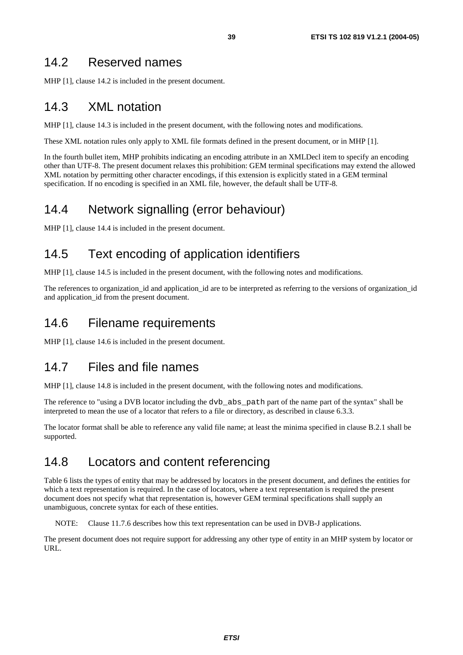#### 14.2 Reserved names

MHP [1], clause 14.2 is included in the present document.

## 14.3 XML notation

MHP [1], clause 14.3 is included in the present document, with the following notes and modifications.

These XML notation rules only apply to XML file formats defined in the present document, or in MHP [1].

In the fourth bullet item, MHP prohibits indicating an encoding attribute in an XMLDecl item to specify an encoding other than UTF-8. The present document relaxes this prohibition: GEM terminal specifications may extend the allowed XML notation by permitting other character encodings, if this extension is explicitly stated in a GEM terminal specification. If no encoding is specified in an XML file, however, the default shall be UTF-8.

## 14.4 Network signalling (error behaviour)

MHP [1], clause 14.4 is included in the present document.

## 14.5 Text encoding of application identifiers

MHP [1], clause 14.5 is included in the present document, with the following notes and modifications.

The references to organization id and application id are to be interpreted as referring to the versions of organization id and application id from the present document.

## 14.6 Filename requirements

MHP [1], clause 14.6 is included in the present document.

### 14.7 Files and file names

MHP [1], clause 14.8 is included in the present document, with the following notes and modifications.

The reference to "using a DVB locator including the dvb\_abs\_path part of the name part of the syntax" shall be interpreted to mean the use of a locator that refers to a file or directory, as described in clause 6.3.3.

The locator format shall be able to reference any valid file name; at least the minima specified in clause B.2.1 shall be supported.

### 14.8 Locators and content referencing

Table 6 lists the types of entity that may be addressed by locators in the present document, and defines the entities for which a text representation is required. In the case of locators, where a text representation is required the present document does not specify what that representation is, however GEM terminal specifications shall supply an unambiguous, concrete syntax for each of these entities.

NOTE: Clause 11.7.6 describes how this text representation can be used in DVB-J applications.

The present document does not require support for addressing any other type of entity in an MHP system by locator or URL.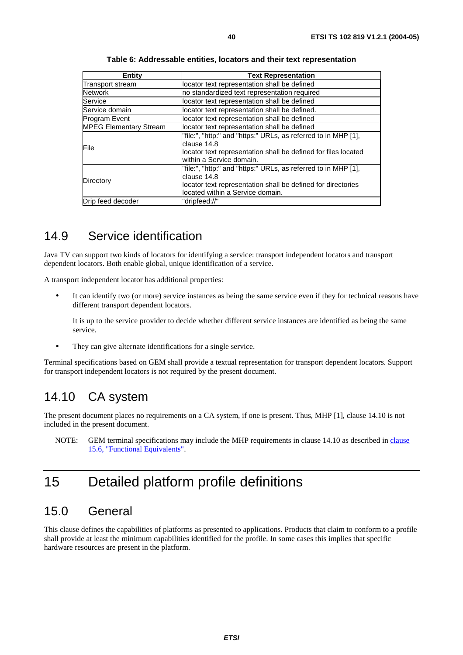| Entity                                                                                                                                                                                          | <b>Text Representation</b>                    |  |
|-------------------------------------------------------------------------------------------------------------------------------------------------------------------------------------------------|-----------------------------------------------|--|
| Transport stream                                                                                                                                                                                | locator text representation shall be defined  |  |
| Network                                                                                                                                                                                         | no standardized text representation required  |  |
| Service                                                                                                                                                                                         | locator text representation shall be defined  |  |
| Service domain                                                                                                                                                                                  | locator text representation shall be defined. |  |
| Program Event                                                                                                                                                                                   | locator text representation shall be defined  |  |
| <b>MPEG Elementary Stream</b>                                                                                                                                                                   | locator text representation shall be defined  |  |
| "file:", "http:" and "https:" URLs, as referred to in MHP [1],<br>clause 14.8<br>File<br>locator text representation shall be defined for files located<br>within a Service domain.             |                                               |  |
| "file:", "http:" and "https:" URLs, as referred to in MHP [1],<br>clause 14.8<br>Directory<br>locator text representation shall be defined for directories<br>llocated within a Service domain. |                                               |  |
| Drip feed decoder                                                                                                                                                                               | "dripfeed://"                                 |  |

#### **Table 6: Addressable entities, locators and their text representation**

#### 14.9 Service identification

Java TV can support two kinds of locators for identifying a service: transport independent locators and transport dependent locators. Both enable global, unique identification of a service.

A transport independent locator has additional properties:

It can identify two (or more) service instances as being the same service even if they for technical reasons have different transport dependent locators.

 It is up to the service provider to decide whether different service instances are identified as being the same service.

• They can give alternate identifications for a single service.

Terminal specifications based on GEM shall provide a textual representation for transport dependent locators. Support for transport independent locators is not required by the present document.

#### 14.10 CA system

The present document places no requirements on a CA system, if one is present. Thus, MHP [1], clause 14.10 is not included in the present document.

NOTE: GEM terminal specifications may include the MHP requirements in clause 14.10 as described in [clause](#page-42-0) [15.6, "Functional Equivalents"](#page-42-0).

# 15 Detailed platform profile definitions

#### 15.0 General

This clause defines the capabilities of platforms as presented to applications. Products that claim to conform to a profile shall provide at least the minimum capabilities identified for the profile. In some cases this implies that specific hardware resources are present in the platform.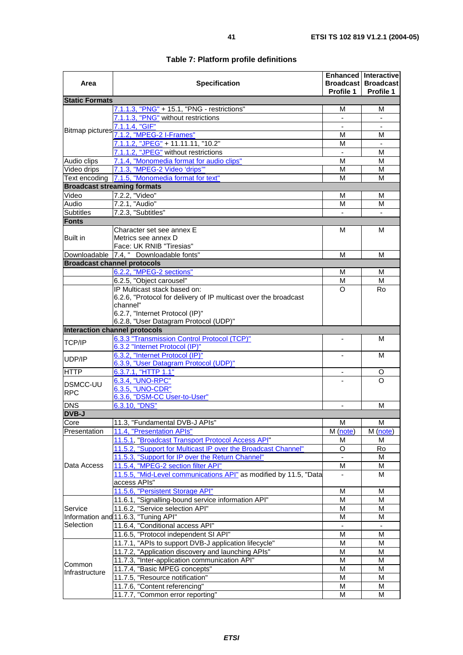| Area                               | <b>Specification</b>                                                         | Profile 1                | <b>Enhanced Interactive</b><br><b>Broadcast Broadcast</b><br><b>Profile 1</b> |
|------------------------------------|------------------------------------------------------------------------------|--------------------------|-------------------------------------------------------------------------------|
| <b>Static Formats</b>              |                                                                              |                          |                                                                               |
|                                    | 7.1.1.3, "PNG" + 15.1, "PNG - restrictions"                                  | М                        | М                                                                             |
|                                    | 7.1.1.3, "PNG" without restrictions                                          |                          |                                                                               |
| <b>Bitmap pictures</b>             | 7.1.1.4, "GIF"                                                               | $\blacksquare$           | $\blacksquare$                                                                |
|                                    | 7.1.2, "MPEG-2 I-Frames"                                                     | М                        | М                                                                             |
|                                    | 7.1.1.2, "JPEG" + 11.11.11, "10.2"                                           | М                        |                                                                               |
|                                    | 7.1.1.2, "JPEG" without restrictions                                         |                          | M                                                                             |
| Audio clips                        | 7.1.4, "Monomedia format for audio clips"                                    | М                        | М                                                                             |
| Video drips                        | 7.1.3, "MPEG-2 Video 'drips"                                                 | М                        | м                                                                             |
|                                    | Text encoding 7.1.5, "Monomedia format for text"                             | М                        | М                                                                             |
|                                    | <b>Broadcast streaming formats</b>                                           |                          |                                                                               |
| Video                              | 7.2.2, "Video"                                                               | м                        | М                                                                             |
| Audio                              | 7.2.1, "Audio"                                                               | М                        | м                                                                             |
| <b>Subtitles</b>                   | 7.2.3, "Subtitles"                                                           |                          |                                                                               |
| <b>Fonts</b>                       |                                                                              |                          |                                                                               |
|                                    | Character set see annex E                                                    | м                        | М                                                                             |
| <b>Built in</b>                    | Metrics see annex D                                                          |                          |                                                                               |
|                                    | Face: UK RNIB "Tiresias"                                                     |                          |                                                                               |
|                                    | Downloadable 7.4, " Downloadable fonts"                                      | M                        | М                                                                             |
| <b>Broadcast channel protocols</b> |                                                                              |                          |                                                                               |
|                                    | 6.2.2, "MPEG-2 sections"                                                     | М                        | м                                                                             |
|                                    | 6.2.5, "Object carousel"                                                     | M                        | M                                                                             |
|                                    | IP Multicast stack based on:                                                 | O                        | Ro                                                                            |
|                                    | 6.2.6, "Protocol for delivery of IP multicast over the broadcast<br>channel" |                          |                                                                               |
|                                    | 6.2.7, "Internet Protocol (IP)"                                              |                          |                                                                               |
|                                    | 6.2.8, "User Datagram Protocol (UDP)"                                        |                          |                                                                               |
| Interaction channel protocols      |                                                                              |                          |                                                                               |
|                                    | 6.3.3 "Transmission Control Protocol (TCP)"                                  |                          | м                                                                             |
| <b>TCP/IP</b>                      | 6.3.2 "Internet Protocol (IP)"                                               |                          |                                                                               |
|                                    | 6.3.2, "Internet Protocol (IP)"                                              |                          | М                                                                             |
| UDP/IP                             | 6.3.9, "User Datagram Protocol (UDP)"                                        |                          |                                                                               |
| <b>HTTP</b>                        | 6.3.7.1, "HTTP 1.1"                                                          |                          | O                                                                             |
|                                    | 6.3.4, "UNO-RPC"                                                             |                          | O                                                                             |
| <b>DSMCC-UU</b>                    | 6.3.5, "UNO-CDR"                                                             |                          |                                                                               |
| <b>RPC</b>                         | 6.3.6, "DSM-CC User-to-User"                                                 |                          |                                                                               |
| <b>DNS</b>                         | 6.3.10, "DNS"                                                                | $\overline{\phantom{a}}$ | М                                                                             |
| <b>DVB-J</b>                       |                                                                              |                          |                                                                               |
| Core                               | 11.3, "Fundamental DVB-J APIs"                                               | M                        | M                                                                             |
| Presentation                       | 11.4, "Presentation APIs"                                                    | M (note)                 | M (note)                                                                      |
|                                    | 11.5.1, "Broadcast Transport Protocol Access API"                            | М                        | м                                                                             |
|                                    | 11.5.2, "Support for Multicast IP over the Broadcast Channel"                | O                        | Ro                                                                            |
|                                    | 11.5.3, "Support for IP over the Return Channel"                             | $\blacksquare$           | M                                                                             |
| Data Access                        | 11.5.4, "MPEG-2 section filter API"                                          | M                        | М                                                                             |
|                                    | 11.5.5, "Mid-Level communications API" as modified by 11.5, "Data            |                          | М                                                                             |
|                                    | access APIs"                                                                 |                          |                                                                               |
|                                    | 11.5.6, "Persistent Storage API"                                             | M                        | M                                                                             |
|                                    | 11.6.1, "Signalling-bound service information API"                           | M                        | М                                                                             |
| Service                            | 11.6.2, "Service selection API"                                              | M                        | M                                                                             |
|                                    | Information and 11.6.3, "Tuning API"                                         | M                        | М                                                                             |
| Selection                          | 11.6.4, "Conditional access API"                                             |                          |                                                                               |
|                                    | 11.6.5, "Protocol independent SI API"                                        | M                        | М                                                                             |
|                                    | 11.7.1, "APIs to support DVB-J application lifecycle"                        | M                        | М                                                                             |
|                                    | 11.7.2, "Application discovery and launching APIs"                           | M                        | M                                                                             |
|                                    | 11.7.3, "Inter-application communication API"                                | M                        | M                                                                             |
| Common                             | 11.7.4, "Basic MPEG concepts"                                                | M                        | M                                                                             |
| Infrastructure                     | 11.7.5, "Resource notification"                                              | M                        | М                                                                             |
|                                    | 11.7.6, "Content referencing"                                                | M                        | Μ                                                                             |
|                                    | 11.7.7, "Common error reporting"                                             | M                        | M                                                                             |

#### **Table 7: Platform profile definitions**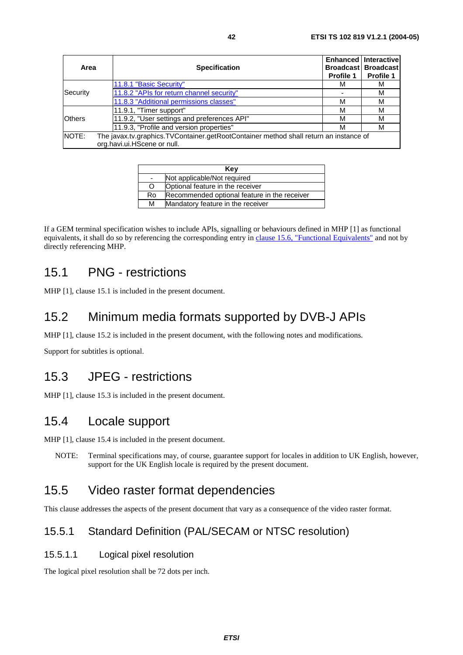<span id="page-41-0"></span>

| Area                                                                                           | <b>Specification</b>                      | Profile 1 | <b>Enhanced Interactivel</b><br><b>Broadcast Broadcast</b><br><b>Profile 1</b> |
|------------------------------------------------------------------------------------------------|-------------------------------------------|-----------|--------------------------------------------------------------------------------|
|                                                                                                | 11.8.1 "Basic Security"                   | м         | M                                                                              |
| Security                                                                                       | 11.8.2 "APIs for return channel security" |           | M                                                                              |
|                                                                                                | 11.8.3 "Additional permissions classes"   | м         | М                                                                              |
|                                                                                                | 11.9.1, "Timer support"                   | м         | М                                                                              |
| <b>Others</b><br>11.9.2, "User settings and preferences API"<br>м                              |                                           | M         |                                                                                |
| 11.9.3, "Profile and version properties"<br>м                                                  |                                           | М         |                                                                                |
| NOTE:<br>The javax.tv.graphics.TVContainer.getRootContainer method shall return an instance of |                                           |           |                                                                                |
|                                                                                                | org.havi.ui.HScene or null.               |           |                                                                                |

| Key                      |                                              |  |
|--------------------------|----------------------------------------------|--|
| $\overline{\phantom{a}}$ | Not applicable/Not required                  |  |
| O                        | Optional feature in the receiver             |  |
| Ro                       | Recommended optional feature in the receiver |  |
| М                        | Mandatory feature in the receiver            |  |

If a GEM terminal specification wishes to include APIs, signalling or behaviours defined in MHP [1] as functional equivalents, it shall do so by referencing the corresponding entry in [clause 15.6, "Functional Equivalents"](#page-42-0) and not by directly referencing MHP.

#### 15.1 PNG - restrictions

MHP [1], clause 15.1 is included in the present document.

## 15.2 Minimum media formats supported by DVB-J APIs

MHP [1], clause 15.2 is included in the present document, with the following notes and modifications.

Support for subtitles is optional.

### 15.3 JPEG - restrictions

MHP [1], clause 15.3 is included in the present document.

### 15.4 Locale support

MHP [1], clause 15.4 is included in the present document.

NOTE: Terminal specifications may, of course, guarantee support for locales in addition to UK English, however, support for the UK English locale is required by the present document.

### 15.5 Video raster format dependencies

This clause addresses the aspects of the present document that vary as a consequence of the video raster format.

#### 15.5.1 Standard Definition (PAL/SECAM or NTSC resolution)

#### 15.5.1.1 Logical pixel resolution

The logical pixel resolution shall be 72 dots per inch.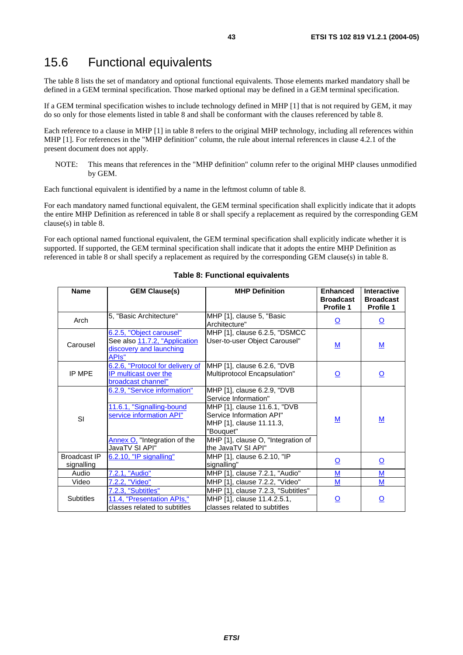### <span id="page-42-0"></span>15.6 Functional equivalents

The table 8 lists the set of mandatory and optional functional equivalents. Those elements marked mandatory shall be defined in a GEM terminal specification. Those marked optional may be defined in a GEM terminal specification.

If a GEM terminal specification wishes to include technology defined in MHP [1] that is not required by GEM, it may do so only for those elements listed in table 8 and shall be conformant with the clauses referenced by table 8.

Each reference to a clause in MHP [1] in table 8 refers to the original MHP technology, including all references within MHP [1]. For references in the "MHP definition" column, the rule about internal references in clause 4.2.1 of the present document does not apply.

NOTE: This means that references in the "MHP definition" column refer to the original MHP clauses unmodified by GEM.

Each functional equivalent is identified by a name in the leftmost column of table 8.

For each mandatory named functional equivalent, the GEM terminal specification shall explicitly indicate that it adopts the entire MHP Definition as referenced in table 8 or shall specify a replacement as required by the corresponding GEM clause(s) in table 8.

For each optional named functional equivalent, the GEM terminal specification shall explicitly indicate whether it is supported. If supported, the GEM terminal specification shall indicate that it adopts the entire MHP Definition as referenced in table 8 or shall specify a replacement as required by the corresponding GEM clause(s) in table 8.

| <b>Name</b>                       | <b>GEM Clause(s)</b>                                                                                                  | <b>MHP Definition</b>                                                                                                                                                                          | <b>Enhanced</b><br><b>Broadcast</b><br><b>Profile 1</b> | <b>Interactive</b><br><b>Broadcast</b><br>Profile 1 |
|-----------------------------------|-----------------------------------------------------------------------------------------------------------------------|------------------------------------------------------------------------------------------------------------------------------------------------------------------------------------------------|---------------------------------------------------------|-----------------------------------------------------|
| Arch                              | 5, "Basic Architecture"                                                                                               | MHP [1], clause 5, "Basic<br>Architecture"                                                                                                                                                     | $\overline{\mathsf{O}}$                                 | $\overline{\mathsf{O}}$                             |
| Carousel                          | 6.2.5, "Object carousel"<br>See also 11.7.2, "Application<br>discovery and launching<br>APIs"                         | MHP [1], clause 6.2.5, "DSMCC<br>User-to-user Object Carousel"                                                                                                                                 | $\underline{\mathsf{M}}$                                | <u>M</u>                                            |
| IP MPE                            | 6.2.6, "Protocol for delivery of<br>IP multicast over the<br>broadcast channel"                                       | MHP [1], clause 6.2.6, "DVB<br>Multiprotocol Encapsulation"                                                                                                                                    | $\overline{\mathsf{O}}$                                 | <u>୦</u>                                            |
| SI                                | 6.2.9, "Service information"<br>11.6.1, "Signalling-bound<br>service information API"<br>Annex O, "Integration of the | MHP [1], clause 6.2.9, "DVB<br>Service Information"<br>MHP [1], clause 11.6.1, "DVB<br>Service Information API"<br>MHP [1], clause 11.11.3,<br>"Bouquet"<br>MHP [1], clause O, "Integration of | $\underline{\mathsf{M}}$                                | M                                                   |
| <b>Broadcast IP</b><br>signalling | JavaTV SI API"<br>6.2.10, "IP signalling"                                                                             | the JavaTV SI API"<br>MHP [1], clause 6.2.10, "IP<br>signalling"                                                                                                                               | <u>୦</u>                                                | <u>୦</u>                                            |
| Audio                             | 7.2.1, "Audio"                                                                                                        | MHP [1], clause 7.2.1, "Audio"                                                                                                                                                                 | M                                                       | M                                                   |
| Video                             | 7.2.2, "Video"                                                                                                        | MHP [1], clause 7.2.2, "Video"                                                                                                                                                                 | M                                                       | M                                                   |
| <b>Subtitles</b>                  | 7.2.3, "Subtitles"<br>11.4, "Presentation APIs,"<br>classes related to subtitles                                      | MHP [1], clause 7.2.3, "Subtitles"<br>MHP [1], clause 11.4.2.5.1,<br>classes related to subtitles                                                                                              | <u>୦</u>                                                | $\overline{\mathsf{O}}$                             |

#### **Table 8: Functional equivalents**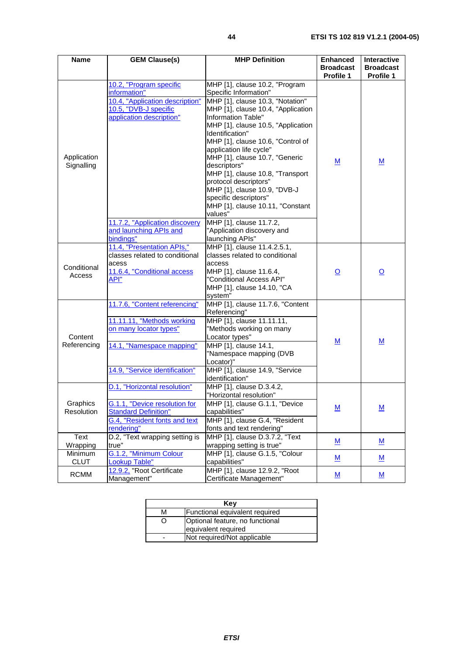<span id="page-43-0"></span>

| <b>Name</b>               | <b>GEM Clause(s)</b>                                                                                                                                 | <b>MHP Definition</b>                                                                                                                                                                                                                                                                                                                                                                                                                                                                                   | <b>Enhanced</b><br><b>Broadcast</b><br>Profile 1 | <b>Interactive</b><br><b>Broadcast</b><br>Profile 1 |
|---------------------------|------------------------------------------------------------------------------------------------------------------------------------------------------|---------------------------------------------------------------------------------------------------------------------------------------------------------------------------------------------------------------------------------------------------------------------------------------------------------------------------------------------------------------------------------------------------------------------------------------------------------------------------------------------------------|--------------------------------------------------|-----------------------------------------------------|
| Application<br>Signalling | 10.2, "Program specific<br>information"<br>10.4, "Application description"<br>10.5, "DVB-J specific<br>application description"                      | MHP [1], clause 10.2, "Program<br>Specific Information"<br>MHP [1], clause 10.3, "Notation"<br>MHP [1], clause 10.4, "Application<br>Information Table"<br>MHP [1], clause 10.5, "Application<br>Identification"<br>MHP [1], clause 10.6, "Control of<br>application life cycle"<br>MHP [1], clause 10.7, "Generic<br>descriptors"<br>MHP [1], clause 10.8, "Transport<br>protocol descriptors"<br>MHP [1], clause 10.9, "DVB-J<br>specific descriptors"<br>MHP [1], clause 10.11, "Constant<br>values" | M                                                | M                                                   |
|                           | 11.7.2, "Application discovery<br>and launching APIs and<br>bindings"                                                                                | MHP [1], clause 11.7.2,<br>"Application discovery and<br>launching APIs"                                                                                                                                                                                                                                                                                                                                                                                                                                |                                                  |                                                     |
| Conditional<br>Access     | 11.4, "Presentation APIs,"<br>classes related to conditional<br>acess<br>11.6.4, "Conditional access<br>API"                                         | MHP [1], clause 11.4.2.5.1,<br>classes related to conditional<br>access<br>MHP [1], clause 11.6.4,<br>"Conditional Access API"<br>MHP [1], clause 14.10, "CA<br>system"                                                                                                                                                                                                                                                                                                                                 | <u>୦</u>                                         | <u>୦</u>                                            |
| Content<br>Referencing    | 11.7.6, "Content referencing"<br>11.11.11, "Methods working<br>on many locator types"<br>14.1, "Namespace mapping"<br>14.9, "Service identification" | MHP [1], clause 11.7.6, "Content<br>Referencing"<br>MHP [1], clause 11.11.11,<br>"Methods working on many<br>Locator types"<br>MHP [1], clause 14.1,<br>"Namespace mapping (DVB<br>Locator)"<br>MHP [1], clause 14.9, "Service<br>identification"                                                                                                                                                                                                                                                       | M                                                | M                                                   |
| Graphics<br>Resolution    | D.1, "Horizontal resolution"<br>G.1.1, "Device resolution for<br><b>Standard Definition"</b><br>G.4, "Resident fonts and text<br>rendering"          | MHP [1], clause D.3.4.2,<br>"Horizontal resolution"<br> MHP [1], clause G.1.1, "Device<br>capabilities"<br>MHP [1], clause G.4, "Resident<br>fonts and text rendering"                                                                                                                                                                                                                                                                                                                                  | $\underline{\mathsf{M}}$                         | $\underline{\mathsf{M}}$                            |
| Text<br>Wrapping          | D.2, "Text wrapping setting is<br>true"                                                                                                              | MHP [1], clause D.3.7.2, "Text<br>wrapping setting is true"                                                                                                                                                                                                                                                                                                                                                                                                                                             | M                                                | M                                                   |
| Minimum<br><b>CLUT</b>    | G.1.2, "Minimum Colour<br><b>Lookup Table"</b>                                                                                                       | MHP [1], clause G.1.5, "Colour<br>capabilities"                                                                                                                                                                                                                                                                                                                                                                                                                                                         | $\underline{\mathsf{M}}$                         | $\underline{\mathsf{M}}$                            |
| <b>RCMM</b>               | 12.9.2. "Root Certificate<br>Management"                                                                                                             | MHP [1], clause 12.9.2, "Root<br>Certificate Management"                                                                                                                                                                                                                                                                                                                                                                                                                                                | $\underline{\mathsf{M}}$                         | $\underline{\mathsf{M}}$                            |

| Kev |                                                        |  |
|-----|--------------------------------------------------------|--|
| м   | Functional equivalent required                         |  |
| ( ) | Optional feature, no functional<br>equivalent required |  |
|     | Not required/Not applicable                            |  |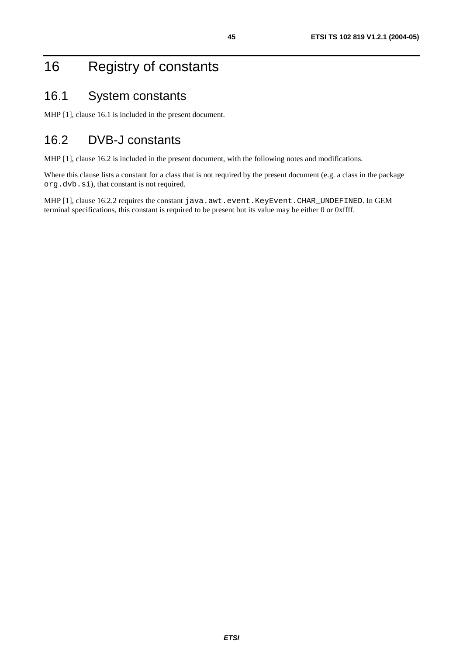# <span id="page-44-0"></span>16 Registry of constants

### 16.1 System constants

MHP [1], clause 16.1 is included in the present document.

## 16.2 DVB-J constants

MHP [1], clause 16.2 is included in the present document, with the following notes and modifications.

Where this clause lists a constant for a class that is not required by the present document (e.g. a class in the package org.dvb.si), that constant is not required.

MHP [1], clause 16.2.2 requires the constant java.awt.event.KeyEvent.CHAR\_UNDEFINED. In GEM terminal specifications, this constant is required to be present but its value may be either 0 or 0xffff.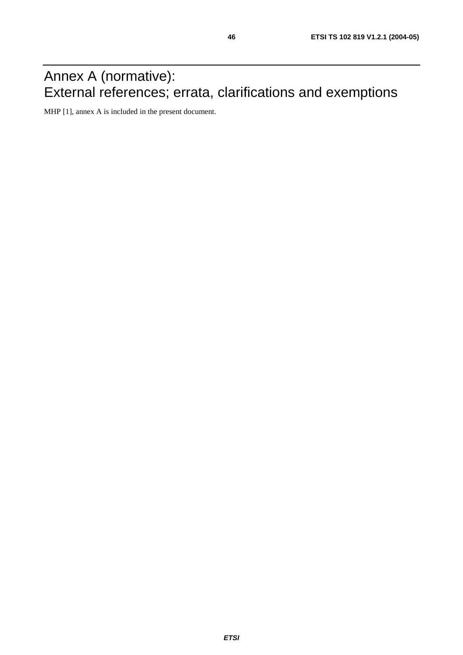# Annex A (normative): External references; errata, clarifications and exemptions

MHP [1], annex A is included in the present document.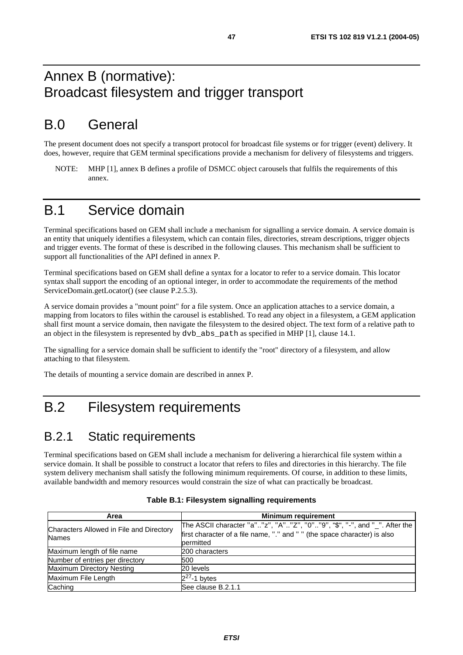## Annex B (normative): Broadcast filesystem and trigger transport

## B.0 General

The present document does not specify a transport protocol for broadcast file systems or for trigger (event) delivery. It does, however, require that GEM terminal specifications provide a mechanism for delivery of filesystems and triggers.

NOTE: MHP [1], annex B defines a profile of DSMCC object carousels that fulfils the requirements of this annex.

## B.1 Service domain

Terminal specifications based on GEM shall include a mechanism for signalling a service domain. A service domain is an entity that uniquely identifies a filesystem, which can contain files, directories, stream descriptions, trigger objects and trigger events. The format of these is described in the following clauses. This mechanism shall be sufficient to support all functionalities of the API defined in annex P.

Terminal specifications based on GEM shall define a syntax for a locator to refer to a service domain. This locator syntax shall support the encoding of an optional integer, in order to accommodate the requirements of the method ServiceDomain.getLocator() (see clause P.2.5.3).

A service domain provides a "mount point" for a file system. Once an application attaches to a service domain, a mapping from locators to files within the carousel is established. To read any object in a filesystem, a GEM application shall first mount a service domain, then navigate the filesystem to the desired object. The text form of a relative path to an object in the filesystem is represented by dvb\_abs\_path as specified in MHP [1], clause 14.1.

The signalling for a service domain shall be sufficient to identify the "root" directory of a filesystem, and allow attaching to that filesystem.

The details of mounting a service domain are described in annex P.

## B.2 Filesystem requirements

#### B.2.1 Static requirements

Terminal specifications based on GEM shall include a mechanism for delivering a hierarchical file system within a service domain. It shall be possible to construct a locator that refers to files and directories in this hierarchy. The file system delivery mechanism shall satisfy the following minimum requirements. Of course, in addition to these limits, available bandwidth and memory resources would constrain the size of what can practically be broadcast.

| Area                                                     | <b>Minimum requirement</b>                                                                                                                                          |
|----------------------------------------------------------|---------------------------------------------------------------------------------------------------------------------------------------------------------------------|
| Characters Allowed in File and Directory<br><b>Names</b> | The ASCII character "a""z", "A""Z", "0""9", "\$", "-", and "_". After the<br>first character of a file name, "." and " " (the space character) is also<br>permitted |
| Maximum length of file name                              | 200 characters                                                                                                                                                      |
| Number of entries per directory                          | 500                                                                                                                                                                 |
| Maximum Directory Nesting                                | 20 levels                                                                                                                                                           |
| Maximum File Length                                      | $2^{27}$ -1 bytes                                                                                                                                                   |
| Caching                                                  | See clause B.2.1.1                                                                                                                                                  |

|  | Table B.1: Filesystem signalling requirements |  |
|--|-----------------------------------------------|--|
|--|-----------------------------------------------|--|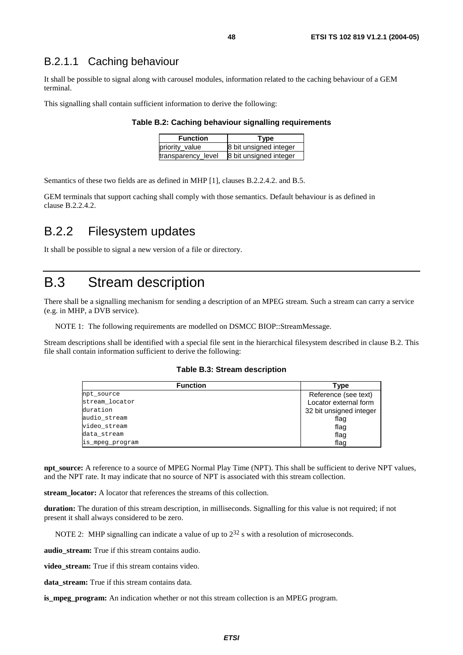#### B.2.1.1 Caching behaviour

It shall be possible to signal along with carousel modules, information related to the caching behaviour of a GEM terminal.

This signalling shall contain sufficient information to derive the following:

#### **Table B.2: Caching behaviour signalling requirements**

| <b>Function</b>    | Type                   |
|--------------------|------------------------|
| priority value     | 8 bit unsigned integer |
| transparency_level | 8 bit unsigned integer |

Semantics of these two fields are as defined in MHP [1], clauses B.2.2.4.2. and B.5.

GEM terminals that support caching shall comply with those semantics. Default behaviour is as defined in clause B.2.2.4.2.

#### B.2.2 Filesystem updates

It shall be possible to signal a new version of a file or directory.

### B.3 Stream description

There shall be a signalling mechanism for sending a description of an MPEG stream. Such a stream can carry a service (e.g. in MHP, a DVB service).

NOTE 1: The following requirements are modelled on DSMCC BIOP::StreamMessage.

Stream descriptions shall be identified with a special file sent in the hierarchical filesystem described in clause B.2. This file shall contain information sufficient to derive the following:

#### **Table B.3: Stream description**

| <b>Function</b> | Type                    |
|-----------------|-------------------------|
| npt_source      | Reference (see text)    |
| stream locator  | Locator external form   |
| duration        | 32 bit unsigned integer |
| audio stream    | flag                    |
| video stream    | flag                    |
| data_stream     | flag                    |
| is_mpeg_program | flag                    |

**npt\_source:** A reference to a source of MPEG Normal Play Time (NPT). This shall be sufficient to derive NPT values, and the NPT rate. It may indicate that no source of NPT is associated with this stream collection.

**stream\_locator:** A locator that references the streams of this collection.

**duration:** The duration of this stream description, in milliseconds. Signalling for this value is not required; if not present it shall always considered to be zero.

NOTE 2: MHP signalling can indicate a value of up to  $2^{32}$  s with a resolution of microseconds.

**audio** stream: True if this stream contains audio.

video stream: True if this stream contains video.

**data\_stream:** True if this stream contains data.

**is\_mpeg\_program:** An indication whether or not this stream collection is an MPEG program.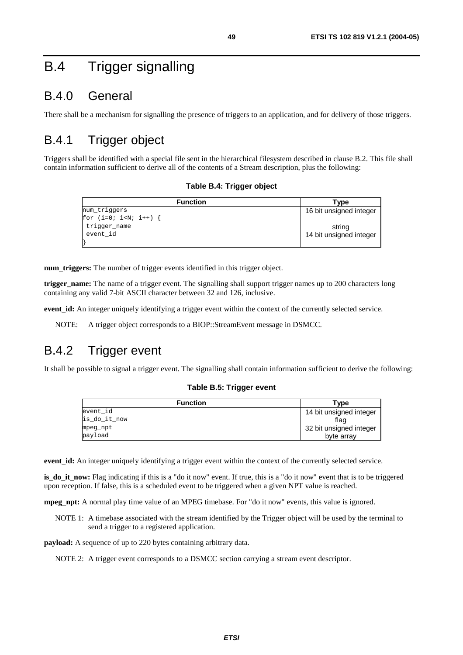# B.4 Trigger signalling

## B.4.0 General

There shall be a mechanism for signalling the presence of triggers to an application, and for delivery of those triggers.

## B.4.1 Trigger object

Triggers shall be identified with a special file sent in the hierarchical filesystem described in clause B.2. This file shall contain information sufficient to derive all of the contents of a Stream description, plus the following:

#### **Table B.4: Trigger object**

| <b>Function</b> | Tvpe                    |
|-----------------|-------------------------|
| num triggers    | 16 bit unsigned integer |
| for $(i=0; i {$ |                         |
| trigger_name    | string                  |
| event id        | 14 bit unsigned integer |
|                 |                         |

**num\_triggers:** The number of trigger events identified in this trigger object.

**trigger\_name:** The name of a trigger event. The signalling shall support trigger names up to 200 characters long containing any valid 7-bit ASCII character between 32 and 126, inclusive.

**event\_id:** An integer uniquely identifying a trigger event within the context of the currently selected service.

NOTE: A trigger object corresponds to a BIOP::StreamEvent message in DSMCC.

## B.4.2 Trigger event

It shall be possible to signal a trigger event. The signalling shall contain information sufficient to derive the following:

#### **Table B.5: Trigger event**

| <b>Function</b> | Type                    |
|-----------------|-------------------------|
| event id        | 14 bit unsigned integer |
| is_do_it_now    | flag                    |
| mpeg_npt        | 32 bit unsigned integer |
| payload         | byte array              |

**event\_id:** An integer uniquely identifying a trigger event within the context of the currently selected service.

**is do it now:** Flag indicating if this is a "do it now" event. If true, this is a "do it now" event that is to be triggered upon reception. If false, this is a scheduled event to be triggered when a given NPT value is reached.

**mpeg\_npt:** A normal play time value of an MPEG timebase. For "do it now" events, this value is ignored.

NOTE 1: A timebase associated with the stream identified by the Trigger object will be used by the terminal to send a trigger to a registered application.

**payload:** A sequence of up to 220 bytes containing arbitrary data.

NOTE 2: A trigger event corresponds to a DSMCC section carrying a stream event descriptor.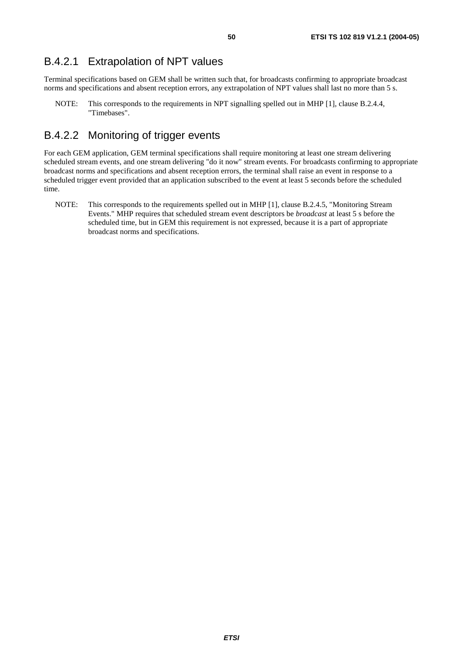#### B.4.2.1 Extrapolation of NPT values

Terminal specifications based on GEM shall be written such that, for broadcasts confirming to appropriate broadcast norms and specifications and absent reception errors, any extrapolation of NPT values shall last no more than 5 s.

NOTE: This corresponds to the requirements in NPT signalling spelled out in MHP [1], clause B.2.4.4, "Timebases".

#### B.4.2.2 Monitoring of trigger events

For each GEM application, GEM terminal specifications shall require monitoring at least one stream delivering scheduled stream events, and one stream delivering "do it now" stream events. For broadcasts confirming to appropriate broadcast norms and specifications and absent reception errors, the terminal shall raise an event in response to a scheduled trigger event provided that an application subscribed to the event at least 5 seconds before the scheduled time.

NOTE: This corresponds to the requirements spelled out in MHP [1], clause B.2.4.5, "Monitoring Stream Events." MHP requires that scheduled stream event descriptors be *broadcast* at least 5 s before the scheduled time, but in GEM this requirement is not expressed, because it is a part of appropriate broadcast norms and specifications.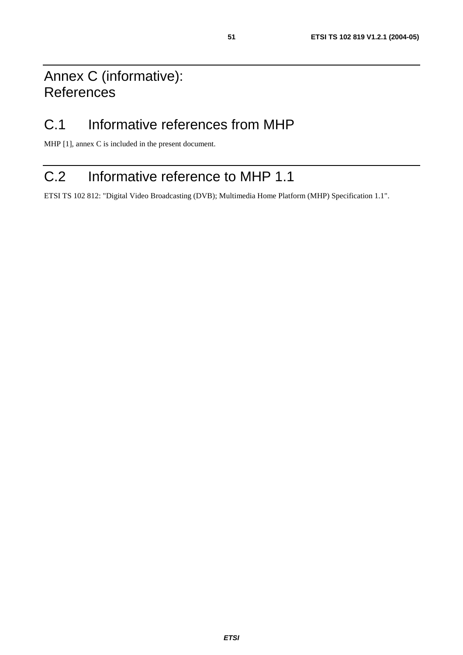# Annex C (informative): References

# C.1 Informative references from MHP

MHP [1], annex C is included in the present document.

# C.2 Informative reference to MHP 1.1

ETSI TS 102 812: "Digital Video Broadcasting (DVB); Multimedia Home Platform (MHP) Specification 1.1".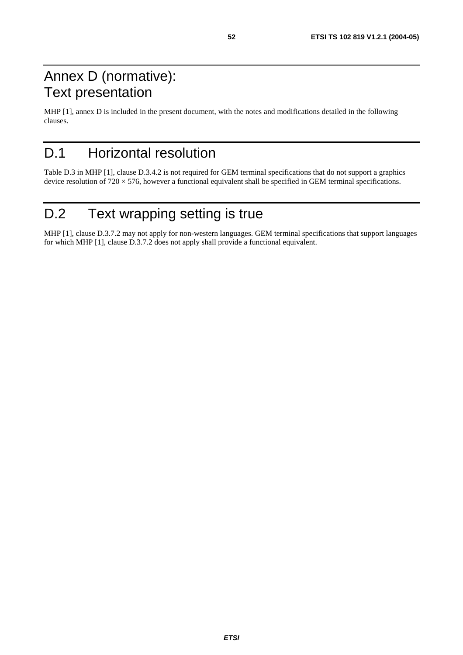# <span id="page-51-0"></span>Annex D (normative): Text presentation

MHP [1], annex D is included in the present document, with the notes and modifications detailed in the following clauses.

# D.1 Horizontal resolution

Table D.3 in MHP [1], clause D.3.4.2 is not required for GEM terminal specifications that do not support a graphics device resolution of  $720 \times 576$ , however a functional equivalent shall be specified in GEM terminal specifications.

# D.2 Text wrapping setting is true

MHP [1], clause D.3.7.2 may not apply for non-western languages. GEM terminal specifications that support languages for which MHP [1], clause D.3.7.2 does not apply shall provide a functional equivalent.

**ETSI**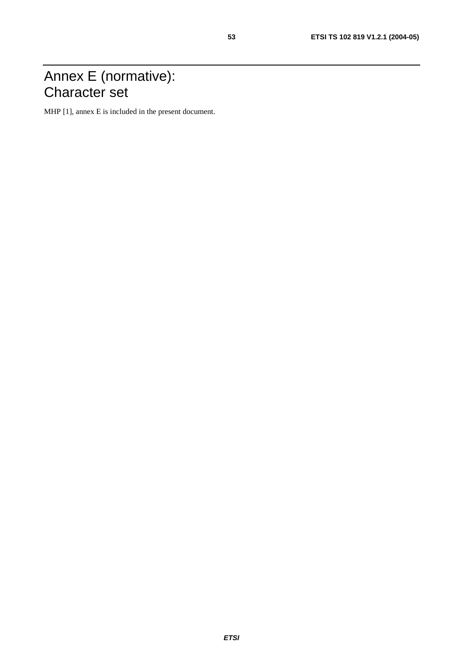# Annex E (normative): Character set

MHP [1], annex E is included in the present document.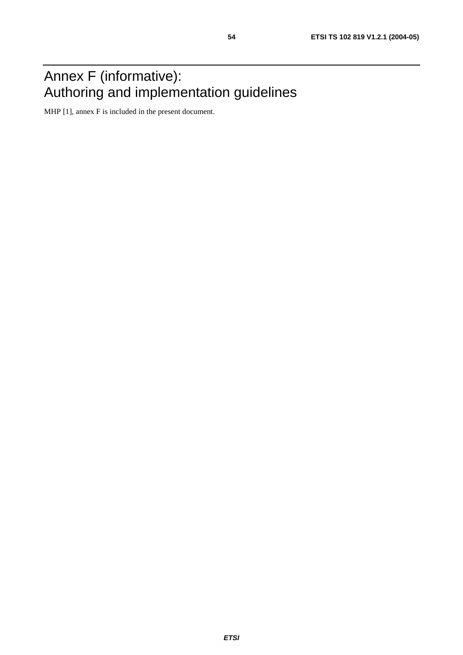# Annex F (informative): Authoring and implementation guidelines

MHP [1], annex F is included in the present document.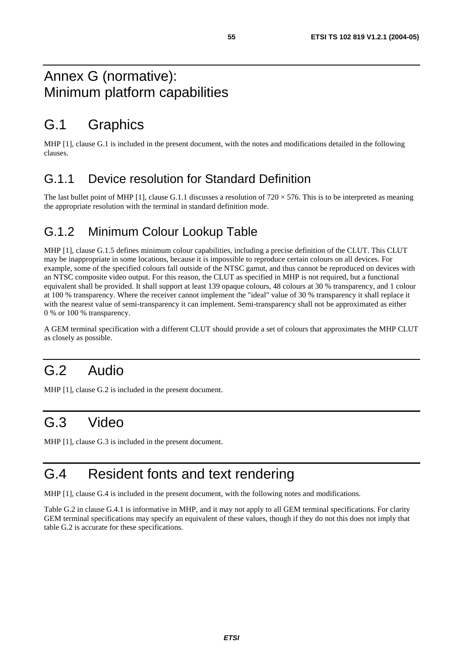## <span id="page-54-0"></span>Annex G (normative): Minimum platform capabilities

# G.1 Graphics

MHP [1], clause G.1 is included in the present document, with the notes and modifications detailed in the following clauses.

#### G.1.1 Device resolution for Standard Definition

The last bullet point of MHP [1], clause G.1.1 discusses a resolution of  $720 \times 576$ . This is to be interpreted as meaning the appropriate resolution with the terminal in standard definition mode.

### G.1.2 Minimum Colour Lookup Table

MHP [1], clause G.1.5 defines minimum colour capabilities, including a precise definition of the CLUT. This CLUT may be inappropriate in some locations, because it is impossible to reproduce certain colours on all devices. For example, some of the specified colours fall outside of the NTSC gamut, and thus cannot be reproduced on devices with an NTSC composite video output. For this reason, the CLUT as specified in MHP is not required, but a functional equivalent shall be provided. It shall support at least 139 opaque colours, 48 colours at 30 % transparency, and 1 colour at 100 % transparency. Where the receiver cannot implement the "ideal" value of 30 % transparency it shall replace it with the nearest value of semi-transparency it can implement. Semi-transparency shall not be approximated as either 0 % or 100 % transparency.

A GEM terminal specification with a different CLUT should provide a set of colours that approximates the MHP CLUT as closely as possible.

# G.2 Audio

MHP [1], clause G.2 is included in the present document.

# G.3 Video

MHP [1], clause G.3 is included in the present document.

# G.4 Resident fonts and text rendering

MHP [1], clause G.4 is included in the present document, with the following notes and modifications.

Table G.2 in clause G.4.1 is informative in MHP, and it may not apply to all GEM terminal specifications. For clarity GEM terminal specifications may specify an equivalent of these values, though if they do not this does not imply that table G.2 is accurate for these specifications.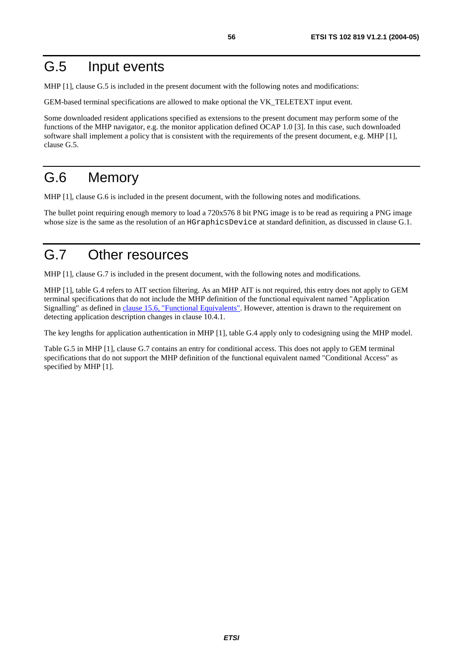## G.5 Input events

MHP [1], clause G.5 is included in the present document with the following notes and modifications:

GEM-based terminal specifications are allowed to make optional the VK\_TELETEXT input event.

Some downloaded resident applications specified as extensions to the present document may perform some of the functions of the MHP navigator, e.g. the monitor application defined OCAP 1.0 [3]. In this case, such downloaded software shall implement a policy that is consistent with the requirements of the present document, e.g. MHP [1], clause G.5.

# G.6 Memory

MHP [1], clause G.6 is included in the present document, with the following notes and modifications.

The bullet point requiring enough memory to load a 720x576 8 bit PNG image is to be read as requiring a PNG image whose size is the same as the resolution of an HGraphicsDevice at standard definition, as discussed in clause G.1.

# G.7 Other resources

MHP [1], clause G.7 is included in the present document, with the following notes and modifications.

MHP [1], table G.4 refers to AIT section filtering. As an MHP AIT is not required, this entry does not apply to GEM terminal specifications that do not include the MHP definition of the functional equivalent named "Application Signalling" as defined in [clause 15.6, "Functional Equivalents"](#page-42-0). However, attention is drawn to the requirement on detecting application description changes in clause 10.4.1.

The key lengths for application authentication in MHP [1], table G.4 apply only to codesigning using the MHP model.

Table G.5 in MHP [1], clause G.7 contains an entry for conditional access. This does not apply to GEM terminal specifications that do not support the MHP definition of the functional equivalent named "Conditional Access" as specified by MHP [1].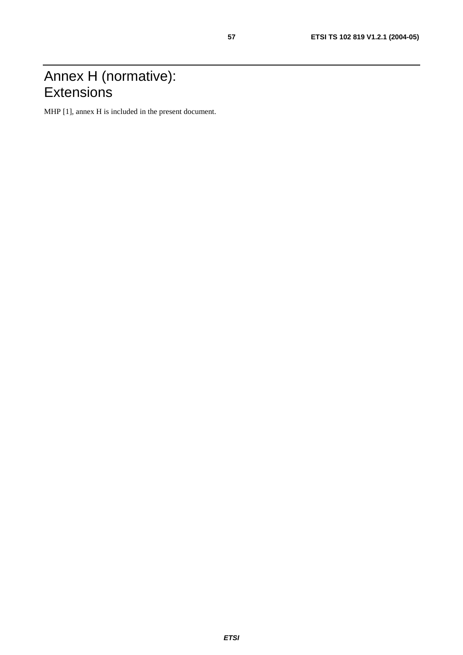## Annex H (normative): **Extensions**

MHP [1], annex H is included in the present document.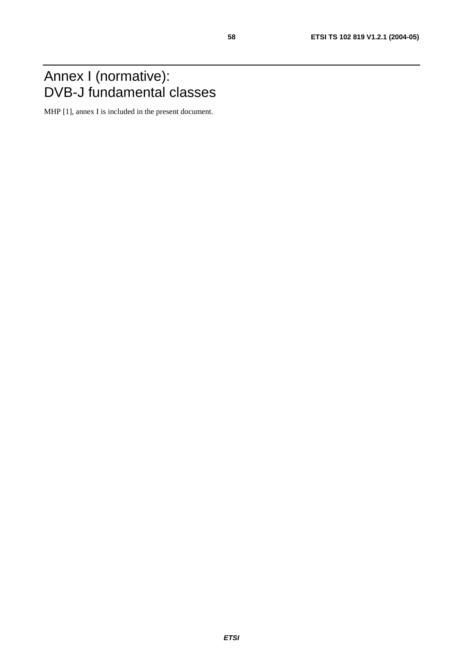## Annex I (normative): DVB-J fundamental classes

MHP [1], annex I is included in the present document.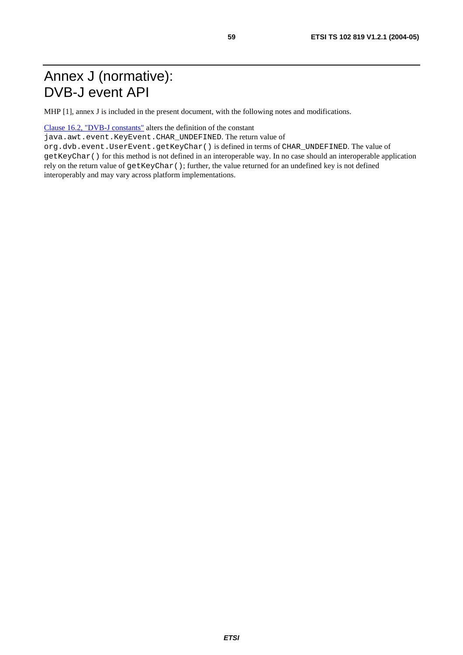# Annex J (normative): DVB-J event API

MHP [1], annex J is included in the present document, with the following notes and modifications.

[Clause 16.2, "DVB-J constants"](#page-44-0) alters the definition of the constant

java.awt.event.KeyEvent.CHAR\_UNDEFINED. The return value of

org.dvb.event.UserEvent.getKeyChar() is defined in terms of CHAR\_UNDEFINED. The value of getKeyChar() for this method is not defined in an interoperable way. In no case should an interoperable application rely on the return value of getKeyChar(); further, the value returned for an undefined key is not defined interoperably and may vary across platform implementations.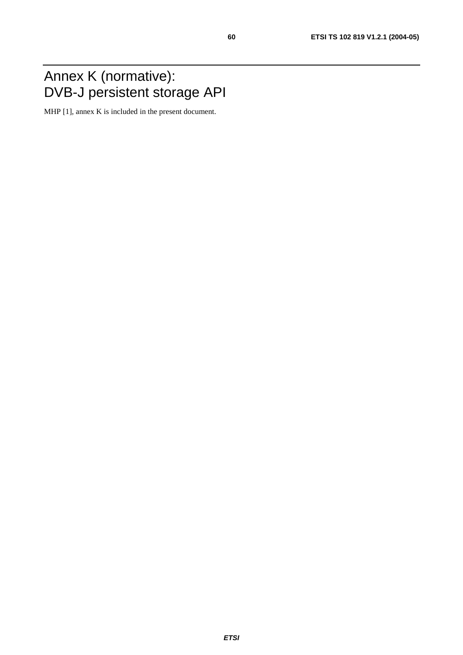## Annex K (normative): DVB-J persistent storage API

MHP [1], annex K is included in the present document.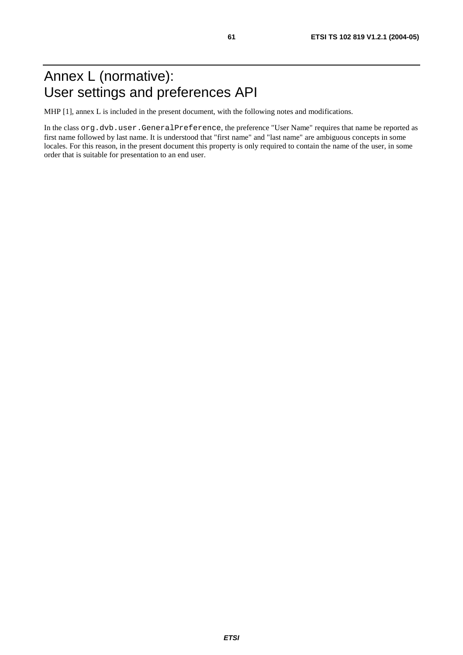# Annex L (normative): User settings and preferences API

MHP [1], annex L is included in the present document, with the following notes and modifications.

In the class org.dvb.user.GeneralPreference, the preference "User Name" requires that name be reported as first name followed by last name. It is understood that "first name" and "last name" are ambiguous concepts in some locales. For this reason, in the present document this property is only required to contain the name of the user, in some order that is suitable for presentation to an end user.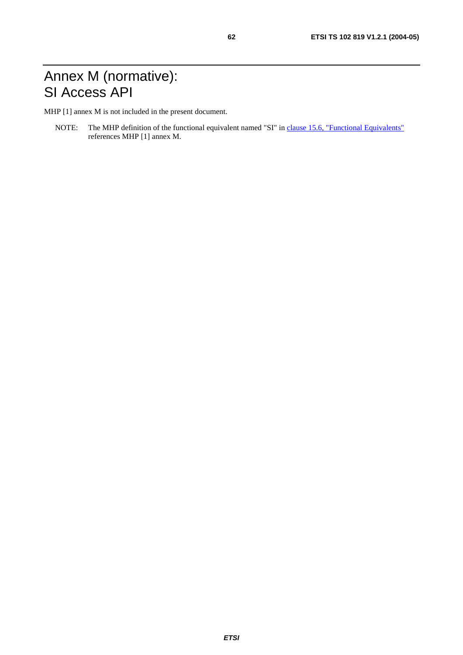# Annex M (normative): SI Access API

MHP [1] annex M is not included in the present document.

NOTE: The MHP definition of the functional equivalent named "SI" in [clause 15.6, "Functional Equivalents"](#page-42-0) references MHP [1] annex M.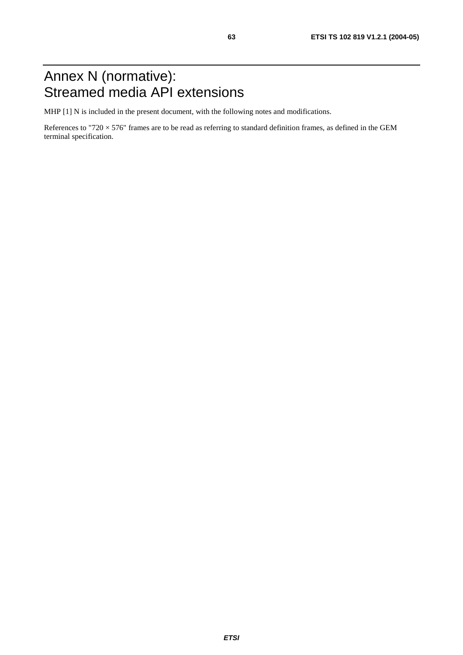# Annex N (normative): Streamed media API extensions

MHP [1] N is included in the present document, with the following notes and modifications.

References to "720  $\times$  576" frames are to be read as referring to standard definition frames, as defined in the GEM terminal specification.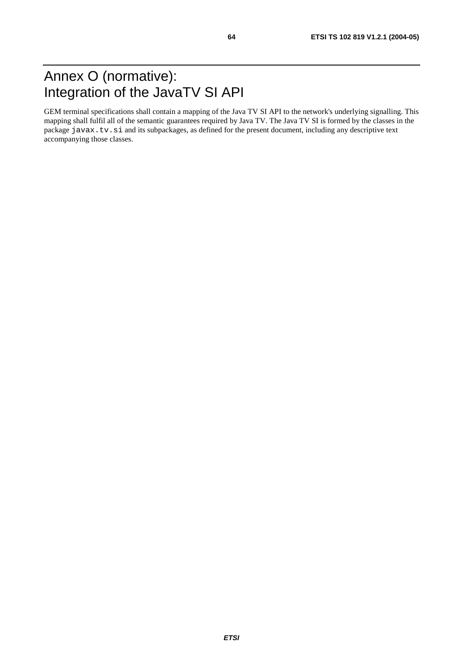<span id="page-63-0"></span>GEM terminal specifications shall contain a mapping of the Java TV SI API to the network's underlying signalling. This mapping shall fulfil all of the semantic guarantees required by Java TV. The Java TV SI is formed by the classes in the package javax.tv.si and its subpackages, as defined for the present document, including any descriptive text accompanying those classes.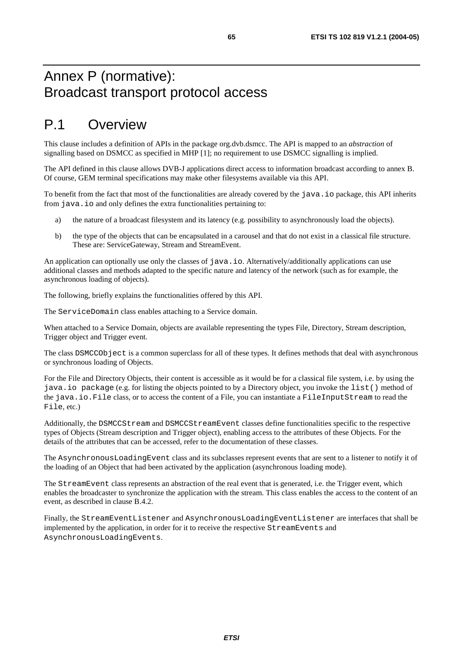## Annex P (normative): Broadcast transport protocol access

## P.1 Overview

This clause includes a definition of APIs in the package org.dvb.dsmcc. The API is mapped to an *abstraction* of signalling based on DSMCC as specified in MHP [1]; no requirement to use DSMCC signalling is implied.

The API defined in this clause allows DVB-J applications direct access to information broadcast according to annex B. Of course, GEM terminal specifications may make other filesystems available via this API.

To benefit from the fact that most of the functionalities are already covered by the java.io package, this API inherits from java.io and only defines the extra functionalities pertaining to:

- a) the nature of a broadcast filesystem and its latency (e.g. possibility to asynchronously load the objects).
- b) the type of the objects that can be encapsulated in a carousel and that do not exist in a classical file structure. These are: ServiceGateway, Stream and StreamEvent.

An application can optionally use only the classes of java.io. Alternatively/additionally applications can use additional classes and methods adapted to the specific nature and latency of the network (such as for example, the asynchronous loading of objects).

The following, briefly explains the functionalities offered by this API.

The ServiceDomain class enables attaching to a Service domain.

When attached to a Service Domain, objects are available representing the types File, Directory, Stream description, Trigger object and Trigger event.

The class DSMCCObject is a common superclass for all of these types. It defines methods that deal with asynchronous or synchronous loading of Objects.

For the File and Directory Objects, their content is accessible as it would be for a classical file system, i.e. by using the java.io package (e.g. for listing the objects pointed to by a Directory object, you invoke the list() method of the java.io.File class, or to access the content of a File, you can instantiate a FileInputStream to read the File, etc.)

Additionally, the DSMCCStream and DSMCCStreamEvent classes define functionalities specific to the respective types of Objects (Stream description and Trigger object), enabling access to the attributes of these Objects. For the details of the attributes that can be accessed, refer to the documentation of these classes.

The AsynchronousLoadingEvent class and its subclasses represent events that are sent to a listener to notify it of the loading of an Object that had been activated by the application (asynchronous loading mode).

The StreamEvent class represents an abstraction of the real event that is generated, i.e. the Trigger event, which enables the broadcaster to synchronize the application with the stream. This class enables the access to the content of an event, as described in clause B.4.2.

Finally, the StreamEventListener and AsynchronousLoadingEventListener are interfaces that shall be implemented by the application, in order for it to receive the respective StreamEvents and AsynchronousLoadingEvents.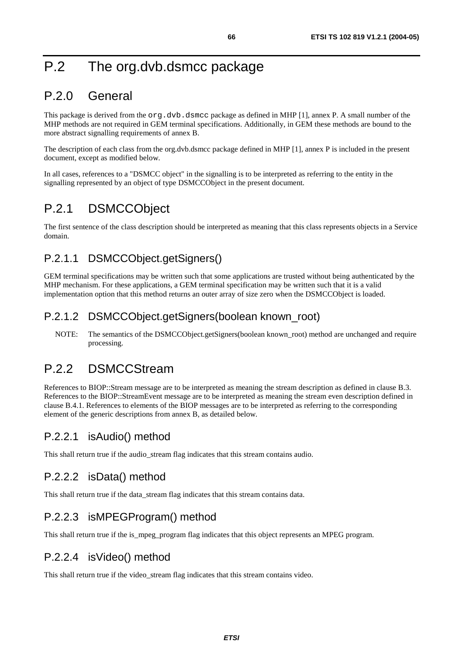# P.2 The org.dvb.dsmcc package

## P.2.0 General

This package is derived from the  $\text{org.dvb.dsmcc package}$  as defined in MHP [1], annex P. A small number of the MHP methods are not required in GEM terminal specifications. Additionally, in GEM these methods are bound to the more abstract signalling requirements of annex B.

The description of each class from the org.dvb.dsmcc package defined in MHP [1], annex P is included in the present document, except as modified below.

In all cases, references to a "DSMCC object" in the signalling is to be interpreted as referring to the entity in the signalling represented by an object of type DSMCCObject in the present document.

## P.2.1 DSMCCObject

The first sentence of the class description should be interpreted as meaning that this class represents objects in a Service domain.

#### P.2.1.1 DSMCCObject.getSigners()

GEM terminal specifications may be written such that some applications are trusted without being authenticated by the MHP mechanism. For these applications, a GEM terminal specification may be written such that it is a valid implementation option that this method returns an outer array of size zero when the DSMCCObject is loaded.

#### P.2.1.2 DSMCCObject.getSigners(boolean known\_root)

NOTE: The semantics of the DSMCCObject.getSigners(boolean known root) method are unchanged and require processing.

## P.2.2 DSMCCStream

References to BIOP::Stream message are to be interpreted as meaning the stream description as defined in clause B.3. References to the BIOP::StreamEvent message are to be interpreted as meaning the stream even description defined in clause B.4.1. References to elements of the BIOP messages are to be interpreted as referring to the corresponding element of the generic descriptions from annex B, as detailed below.

#### P.2.2.1 isAudio() method

This shall return true if the audio stream flag indicates that this stream contains audio.

#### P.2.2.2 isData() method

This shall return true if the data stream flag indicates that this stream contains data.

#### P.2.2.3 isMPEGProgram() method

This shall return true if the is\_mpeg\_program flag indicates that this object represents an MPEG program.

#### P.2.2.4 isVideo() method

This shall return true if the video stream flag indicates that this stream contains video.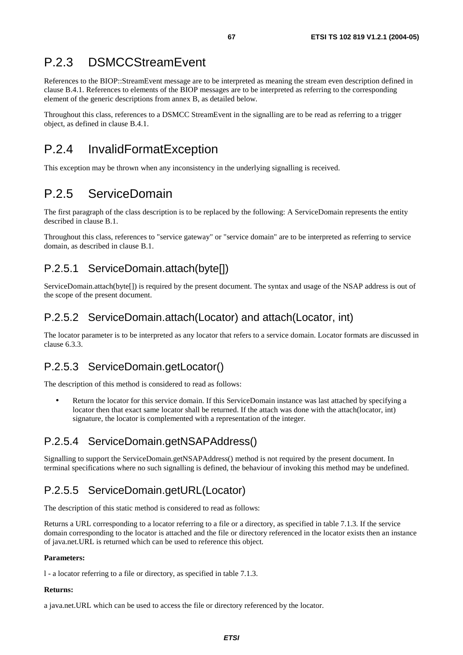## P.2.3 DSMCCStreamEvent

References to the BIOP::StreamEvent message are to be interpreted as meaning the stream even description defined in clause B.4.1. References to elements of the BIOP messages are to be interpreted as referring to the corresponding element of the generic descriptions from annex B, as detailed below.

Throughout this class, references to a DSMCC StreamEvent in the signalling are to be read as referring to a trigger object, as defined in clause B.4.1.

# P.2.4 InvalidFormatException

This exception may be thrown when any inconsistency in the underlying signalling is received.

## P.2.5 ServiceDomain

The first paragraph of the class description is to be replaced by the following: A ServiceDomain represents the entity described in clause B.1.

Throughout this class, references to "service gateway" or "service domain" are to be interpreted as referring to service domain, as described in clause B.1.

#### P.2.5.1 ServiceDomain.attach(byte[])

ServiceDomain.attach(byte[]) is required by the present document. The syntax and usage of the NSAP address is out of the scope of the present document.

#### P.2.5.2 ServiceDomain.attach(Locator) and attach(Locator, int)

The locator parameter is to be interpreted as any locator that refers to a service domain. Locator formats are discussed in clause 6.3.3.

#### P.2.5.3 ServiceDomain.getLocator()

The description of this method is considered to read as follows:

• Return the locator for this service domain. If this ServiceDomain instance was last attached by specifying a locator then that exact same locator shall be returned. If the attach was done with the attach(locator, int) signature, the locator is complemented with a representation of the integer.

### P.2.5.4 ServiceDomain.getNSAPAddress()

Signalling to support the ServiceDomain.getNSAPAddress() method is not required by the present document. In terminal specifications where no such signalling is defined, the behaviour of invoking this method may be undefined.

#### P.2.5.5 ServiceDomain.getURL(Locator)

The description of this static method is considered to read as follows:

Returns a URL corresponding to a locator referring to a file or a directory, as specified in table 7.1.3. If the service domain corresponding to the locator is attached and the file or directory referenced in the locator exists then an instance of java.net.URL is returned which can be used to reference this object.

#### **Parameters:**

l - a locator referring to a file or directory, as specified in table 7.1.3.

#### **Returns:**

a java.net.URL which can be used to access the file or directory referenced by the locator.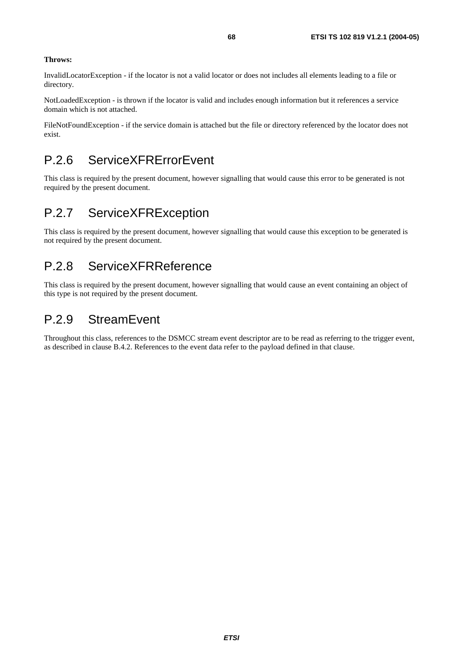#### **Throws:**

InvalidLocatorException - if the locator is not a valid locator or does not includes all elements leading to a file or directory.

NotLoadedException - is thrown if the locator is valid and includes enough information but it references a service domain which is not attached.

FileNotFoundException - if the service domain is attached but the file or directory referenced by the locator does not exist.

### P.2.6 ServiceXFRErrorEvent

This class is required by the present document, however signalling that would cause this error to be generated is not required by the present document.

#### P.2.7 ServiceXFRException

This class is required by the present document, however signalling that would cause this exception to be generated is not required by the present document.

#### P.2.8 ServiceXFRReference

This class is required by the present document, however signalling that would cause an event containing an object of this type is not required by the present document.

#### P.2.9 StreamEvent

Throughout this class, references to the DSMCC stream event descriptor are to be read as referring to the trigger event, as described in clause B.4.2. References to the event data refer to the payload defined in that clause.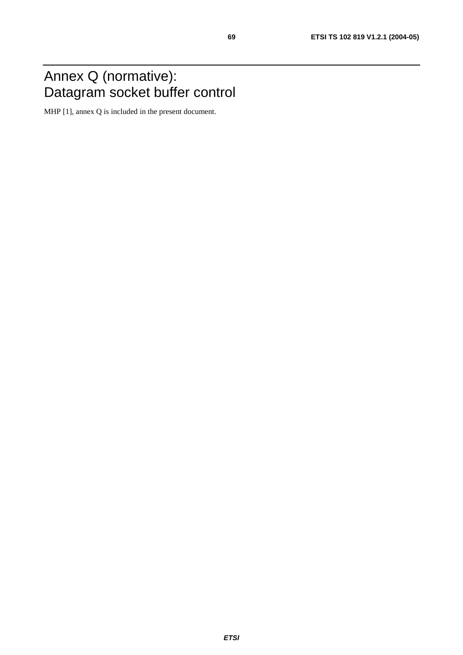## Annex Q (normative): Datagram socket buffer control

MHP [1], annex Q is included in the present document.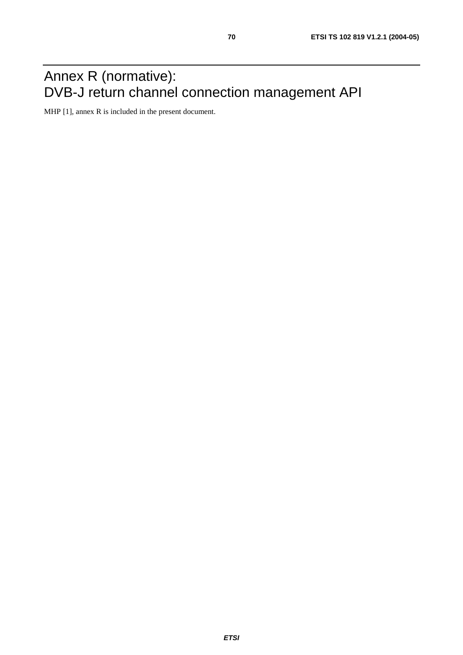## Annex R (normative): DVB-J return channel connection management API

MHP [1], annex R is included in the present document.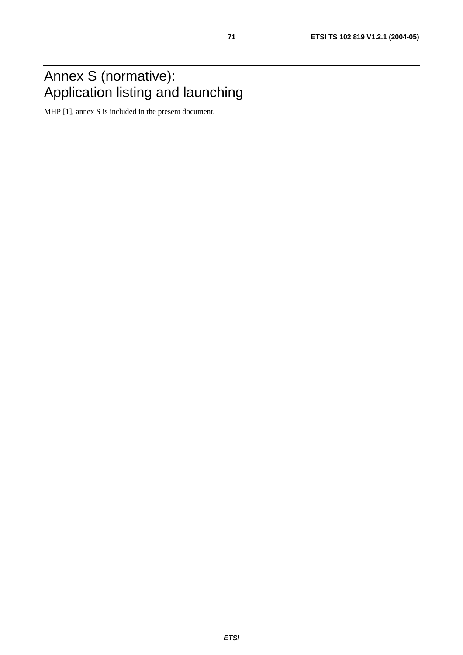## Annex S (normative): Application listing and launching

MHP [1], annex S is included in the present document.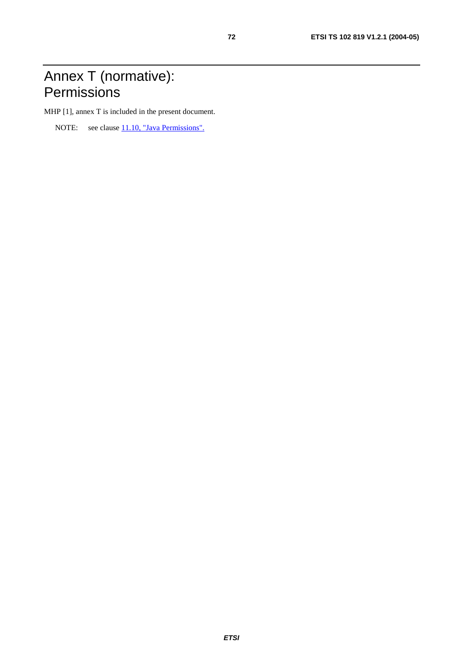## Annex T (normative): **Permissions**

MHP [1], annex T is included in the present document.

NOTE: see clause [11.10, "Java Permissions".](#page-29-0)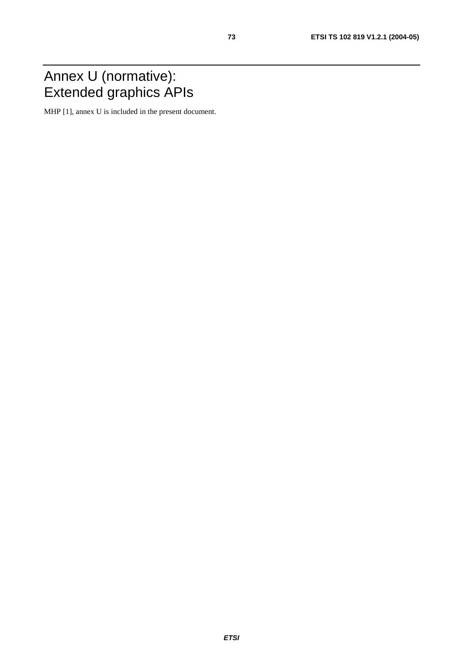#### Annex U (normative): Extended graphics APIs

MHP [1], annex U is included in the present document.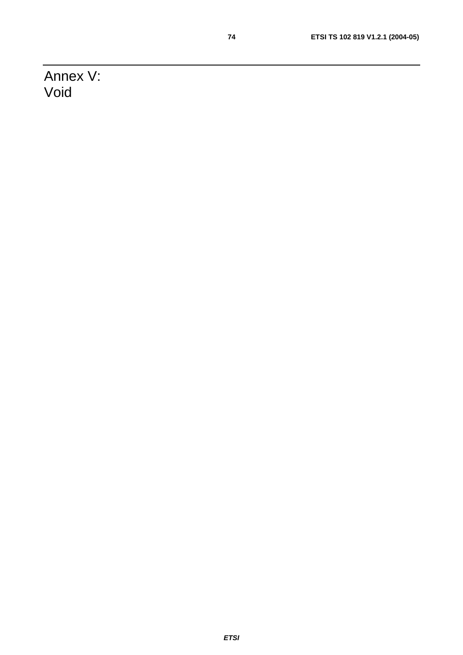Annex V: Void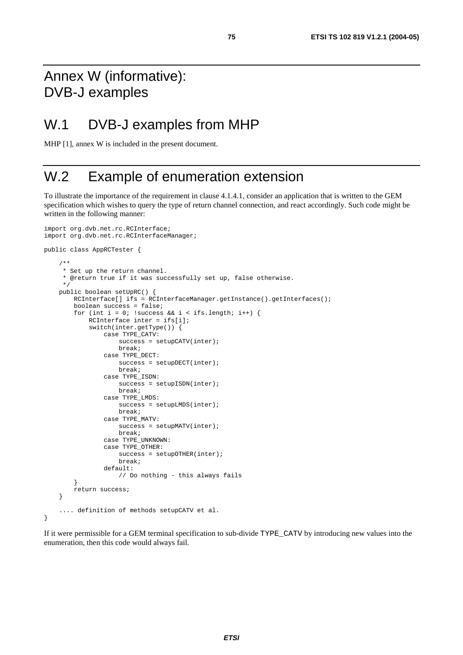#### Annex W (informative): DVB-J examples

#### W.1 DVB-J examples from MHP

MHP [1], annex W is included in the present document.

#### W.2 Example of enumeration extension

To illustrate the importance of the requirement in clause 4.1.4.1, consider an application that is written to the GEM specification which wishes to query the type of return channel connection, and react accordingly. Such code might be written in the following manner:

```
import org.dvb.net.rc.RCInterface; 
import org.dvb.net.rc.RCInterfaceManager; 
public class AppRCTester { 
     /** 
      * Set up the return channel. 
      * @return true if it was successfully set up, false otherwise. 
      */ 
     public boolean setUpRC() { 
        RCInterface[] ifs = RCInterfaceManager.getInstance().getInterfaces();
         boolean success = false; 
        for (int i = 0; !success && i < ifs.length; i++) {
              RCInterface inter = ifs[i]; 
              switch(inter.getType()) { 
                  case TYPE_CATV: 
                     success = setupCATV(inter);
                      break; 
                  case TYPE_DECT: 
                     success = setupDECT(inter);
                      break; 
                  case TYPE_ISDN: 
                     success = setupISDN(inter);
                      break; 
                  case TYPE_LMDS: 
                     success = setupLMDS(inter);
                      break; 
                  case TYPE_MATV: 
                     success = setupMATV(inter);
                      break; 
                  case TYPE_UNKNOWN: 
                  case TYPE_OTHER: 
                     success = setupOTHER(inter);
                      break; 
                  default: 
                      // Do nothing - this always fails 
 } 
         return success; 
     } 
     .... definition of methods setupCATV et al. 
}
```
If it were permissible for a GEM terminal specification to sub-divide TYPE\_CATV by introducing new values into the enumeration, then this code would always fail.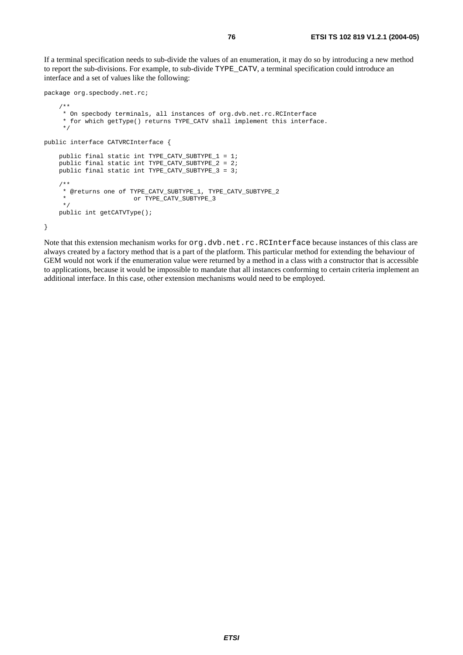If a terminal specification needs to sub-divide the values of an enumeration, it may do so by introducing a new method to report the sub-divisions. For example, to sub-divide TYPE\_CATV, a terminal specification could introduce an interface and a set of values like the following:

```
package org.specbody.net.rc; 
     /** 
      * On specbody terminals, all instances of org.dvb.net.rc.RCInterface 
      * for which getType() returns TYPE_CATV shall implement this interface. 
      */ 
public interface CATVRCInterface { 
     public final static int TYPE_CATV_SUBTYPE_1 = 1; 
     public final static int TYPE_CATV_SUBTYPE_2 = 2; 
     public final static int TYPE_CATV_SUBTYPE_3 = 3; 
     /** 
     * @returns one of TYPE_CATV_SUBTYPE_1, TYPE_CATV_SUBTYPE_2 
                     or TYPE_CATV_SUBTYPE_3
      */ 
     public int getCATVType(); 
}
```
Note that this extension mechanism works for org.dvb.net.rc.RCInterface because instances of this class are always created by a factory method that is a part of the platform. This particular method for extending the behaviour of GEM would not work if the enumeration value were returned by a method in a class with a constructor that is accessible to applications, because it would be impossible to mandate that all instances conforming to certain criteria implement an additional interface. In this case, other extension mechanisms would need to be employed.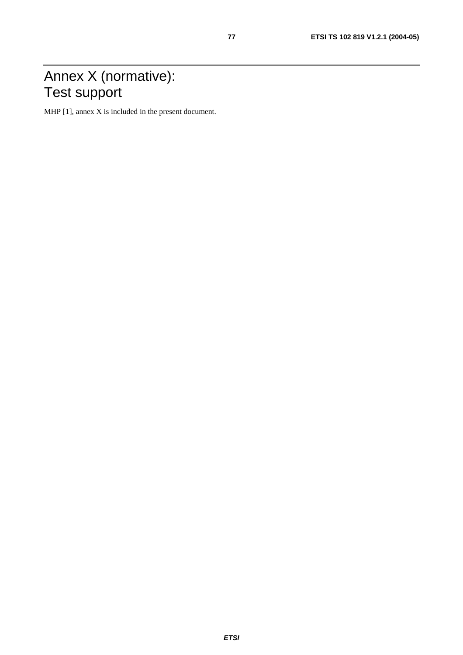#### Annex X (normative): Test support

MHP [1], annex X is included in the present document.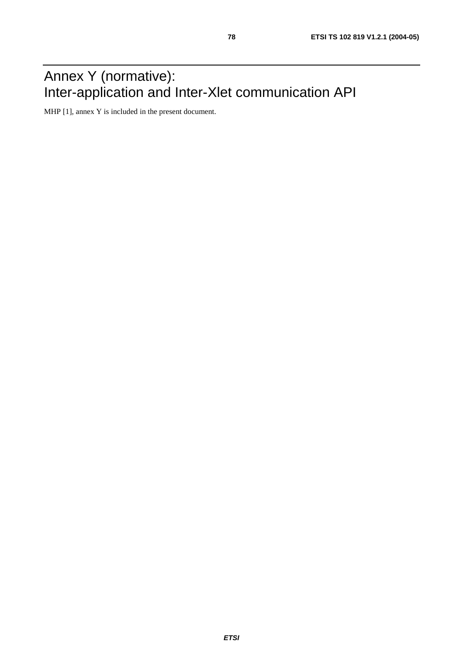## Annex Y (normative): Inter-application and Inter-Xlet communication API

MHP [1], annex Y is included in the present document.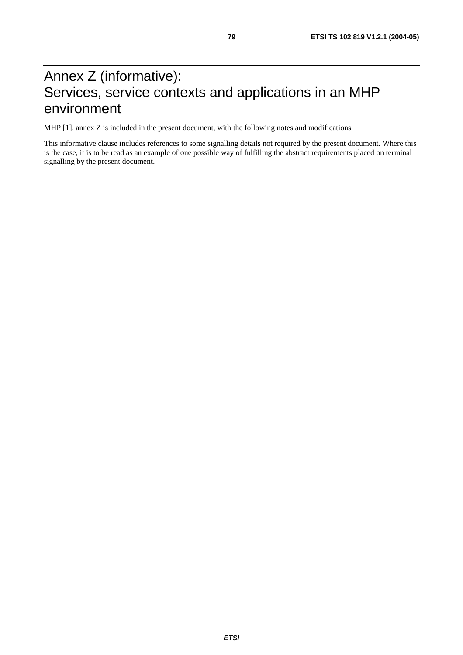### Annex Z (informative): Services, service contexts and applications in an MHP environment

MHP [1], annex Z is included in the present document, with the following notes and modifications.

This informative clause includes references to some signalling details not required by the present document. Where this is the case, it is to be read as an example of one possible way of fulfilling the abstract requirements placed on terminal signalling by the present document.